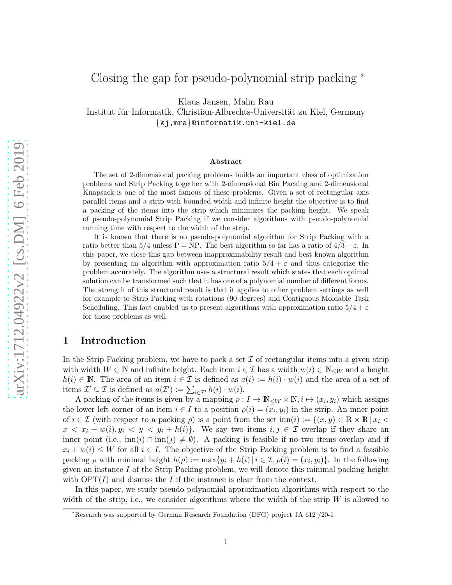# Closing the gap for pseudo-polynomial strip packing <sup>∗</sup>

Klaus Jansen, Malin Rau

Institut für Informatik, Christian-Albrechts-Universität zu Kiel, Germany {kj,mra}@informatik.uni-kiel.de

#### Abstract

The set of 2-dimensional packing problems builds an important class of optimization problems and Strip Packing together with 2-dimensional Bin Packing and 2-dimensional Knapsack is one of the most famous of these problems. Given a set of rectangular axis parallel items and a strip with bounded width and infinite height the objective is to find a packing of the items into the strip which minimizes the packing height. We speak of pseudo-polynomial Strip Packing if we consider algorithms with pseudo-polynomial running time with respect to the width of the strip.

It is known that there is no pseudo-polynomial algorithm for Strip Packing with a ratio better than  $5/4$  unless P = NP. The best algorithm so far has a ratio of  $4/3 + \varepsilon$ . In this paper, we close this gap between inapproximability result and best known algorithm by presenting an algorithm with approximation ratio  $5/4 + \varepsilon$  and thus categorize the problem accurately. The algorithm uses a structural result which states that each optimal solution can be transformed such that it has one of a polynomial number of different forms. The strength of this structural result is that it applies to other problem settings as well for example to Strip Packing with rotations (90 degrees) and Contiguous Moldable Task Scheduling. This fact enabled us to present algorithms with approximation ratio  $5/4 + \varepsilon$ for these problems as well.

# 1 Introduction

In the Strip Packing problem, we have to pack a set  $\mathcal I$  of rectangular items into a given strip with width  $W \in \mathbb{N}$  and infinite height. Each item  $i \in \mathcal{I}$  has a width  $w(i) \in \mathbb{N}_{\leq W}$  and a height  $h(i) \in \mathbb{N}$ . The area of an item  $i \in \mathcal{I}$  is defined as  $a(i) := h(i) \cdot w(i)$  and the area of a set of items  $\mathcal{I}' \subseteq \mathcal{I}$  is defined as  $a(\mathcal{I}') := \sum_{i \in \mathcal{I}'} h(i) \cdot w(i)$ .

A packing of the items is given by a mapping  $\rho: I \to \mathbb{N}_{\leq W} \times \mathbb{N}, i \mapsto (x_i, y_i)$  which assigns the lower left corner of an item  $i \in I$  to a position  $\rho(i) = (x_i, y_i)$  in the strip. An inner point of  $i \in \mathcal{I}$  (with respect to a packing  $\rho$ ) is a point from the set inn $(i) := \{(x, y) \in \mathbb{R} \times \mathbb{R} \mid x_i \leq \rho\}$  $x < x_i + w(i), y_i < y < y_i + h(i)$ . We say two items  $i, j \in \mathcal{I}$  overlap if they share an inner point (i.e.,  $\text{inn}(i) \cap \text{inn}(j) \neq \emptyset$ ). A packing is feasible if no two items overlap and if  $x_i + w(i) \leq W$  for all  $i \in I$ . The objective of the Strip Packing problem is to find a feasible packing  $\rho$  with minimal height  $h(\rho) := \max\{y_i + h(i) | i \in \mathcal{I}, \rho(i) = (x_i, y_i)\}\.$  In the following given an instance  $I$  of the Strip Packing problem, we will denote this minimal packing height with  $\text{OPT}(I)$  and dismiss the I if the instance is clear from the context.

In this paper, we study pseudo-polynomial approximation algorithms with respect to the width of the strip, i.e., we consider algorithms where the width of the strip  $W$  is allowed to

<sup>∗</sup>Research was supported by German Research Foundation (DFG) project JA 612 /20-1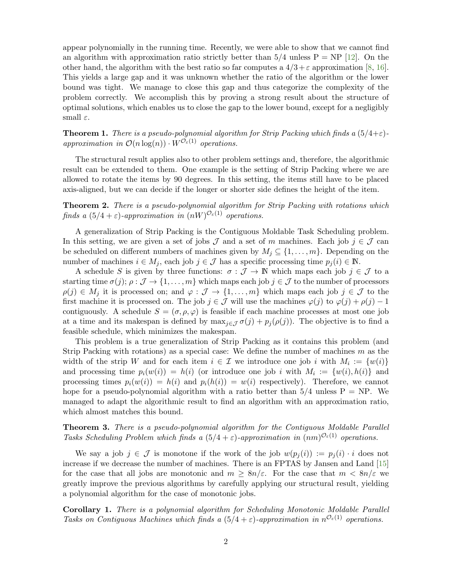appear polynomially in the running time. Recently, we were able to show that we cannot find an algorithm with approximation ratio strictly better than  $5/4$  unless  $P = NP$  [\[12\]](#page-40-0). On the other hand, the algorithm with the best ratio so far computes a  $4/3 + \varepsilon$  approximation [\[8,](#page-40-1) [16\]](#page-41-0). This yields a large gap and it was unknown whether the ratio of the algorithm or the lower bound was tight. We manage to close this gap and thus categorize the complexity of the problem correctly. We accomplish this by proving a strong result about the structure of optimal solutions, which enables us to close the gap to the lower bound, except for a negligibly small  $\varepsilon$ .

<span id="page-1-0"></span>**Theorem 1.** There is a pseudo-polynomial algorithm for Strip Packing which finds a  $(5/4+\varepsilon)$ approximation in  $\mathcal{O}(n \log(n)) \cdot W^{\mathcal{O}_{\varepsilon}(1)}$  operations.

The structural result applies also to other problem settings and, therefore, the algorithmic result can be extended to them. One example is the setting of Strip Packing where we are allowed to rotate the items by 90 degrees. In this setting, the items still have to be placed axis-aligned, but we can decide if the longer or shorter side defines the height of the item.

**Theorem 2.** There is a pseudo-polynomial algorithm for Strip Packing with rotations which finds a  $(5/4 + \varepsilon)$ -approximation in  $(nW)^{O_{\varepsilon}(1)}$  operations.

A generalization of Strip Packing is the Contiguous Moldable Task Scheduling problem. In this setting, we are given a set of jobs  $\mathcal J$  and a set of m machines. Each job  $j \in \mathcal J$  can be scheduled on different numbers of machines given by  $M_j \subseteq \{1, \ldots, m\}$ . Depending on the number of machines  $i \in M_j$ , each job  $j \in \mathcal{J}$  has a specific processing time  $p_j(i) \in \mathbb{N}$ .

A schedule S is given by three functions:  $\sigma : \mathcal{J} \to \mathbb{N}$  which maps each job  $j \in \mathcal{J}$  to a starting time  $\sigma(j)$ ;  $\rho : \mathcal{J} \to \{1, \ldots, m\}$  which maps each job  $j \in \mathcal{J}$  to the number of processors  $\rho(j) \in M_j$  it is processed on; and  $\varphi : \mathcal{J} \to \{1, \ldots, m\}$  which maps each job  $j \in \mathcal{J}$  to the first machine it is processed on. The job  $j \in \mathcal{J}$  will use the machines  $\varphi(j)$  to  $\varphi(j) + \rho(j) - 1$ contiguously. A schedule  $S = (\sigma, \rho, \varphi)$  is feasible if each machine processes at most one job at a time and its makespan is defined by  $\max_{j\in\mathcal{J}} \sigma(j) + p_j(\rho(j))$ . The objective is to find a feasible schedule, which minimizes the makespan.

This problem is a true generalization of Strip Packing as it contains this problem (and Strip Packing with rotations) as a special case: We define the number of machines  $m$  as the width of the strip W and for each item  $i \in \mathcal{I}$  we introduce one job i with  $M_i := \{w(i)\}\$ and processing time  $p_i(w(i)) = h(i)$  (or introduce one job i with  $M_i := \{w(i), h(i)\}\$  and processing times  $p_i(w(i)) = h(i)$  and  $p_i(h(i)) = w(i)$  respectively). Therefore, we cannot hope for a pseudo-polynomial algorithm with a ratio better than  $5/4$  unless  $P = NP$ . We managed to adapt the algorithmic result to find an algorithm with an approximation ratio, which almost matches this bound.

**Theorem 3.** There is a pseudo-polynomial algorithm for the Contiguous Moldable Parallel Tasks Scheduling Problem which finds a  $(5/4 + \varepsilon)$ -approximation in  $(nm)^{O_{\varepsilon}(1)}$  operations.

We say a job  $j \in \mathcal{J}$  is monotone if the work of the job  $w(p_i(i)) := p_i(i) \cdot i$  does not increase if we decrease the number of machines. There is an FPTAS by Jansen and Land [\[15\]](#page-41-1) for the case that all jobs are monotonic and  $m \geq 8n/\varepsilon$ . For the case that  $m < 8n/\varepsilon$  we greatly improve the previous algorithms by carefully applying our structural result, yielding a polynomial algorithm for the case of monotonic jobs.

Corollary 1. There is a polynomial algorithm for Scheduling Monotonic Moldable Parallel Tasks on Contiguous Machines which finds a  $(5/4 + \varepsilon)$ -approximation in  $n^{\mathcal{O}_{\varepsilon}(1)}$  operations.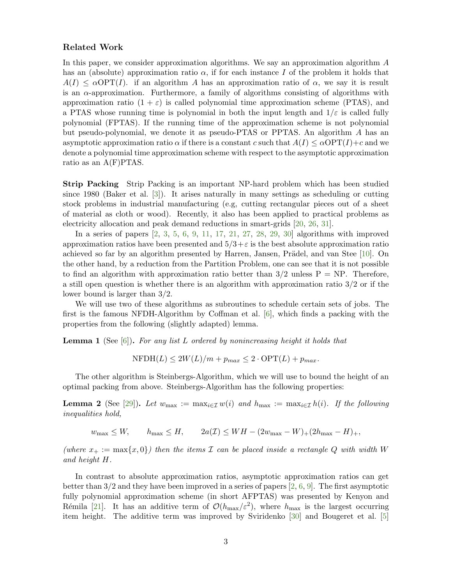### Related Work

In this paper, we consider approximation algorithms. We say an approximation algorithm A has an (absolute) approximation ratio  $\alpha$ , if for each instance I of the problem it holds that  $A(I) \leq \alpha \text{OPT}(I)$ . if an algorithm A has an approximation ratio of  $\alpha$ , we say it is result is an  $\alpha$ -approximation. Furthermore, a family of algorithms consisting of algorithms with approximation ratio  $(1 + \varepsilon)$  is called polynomial time approximation scheme (PTAS), and a PTAS whose running time is polynomial in both the input length and  $1/\varepsilon$  is called fully polynomial (FPTAS). If the running time of the approximation scheme is not polynomial but pseudo-polynomial, we denote it as pseudo-PTAS or PPTAS. An algorithm A has an asymptotic approximation ratio  $\alpha$  if there is a constant c such that  $A(I) \leq \alpha \text{OPT}(I) + c$  and we denote a polynomial time approximation scheme with respect to the asymptotic approximation ratio as an A(F)PTAS.

Strip Packing Strip Packing is an important NP-hard problem which has been studied since 1980 (Baker et al. [\[3\]](#page-40-2)). It arises naturally in many settings as scheduling or cutting stock problems in industrial manufacturing (e.g, cutting rectangular pieces out of a sheet of material as cloth or wood). Recently, it also has been applied to practical problems as electricity allocation and peak demand reductions in smart-grids [\[20,](#page-41-2) [26,](#page-41-3) [31\]](#page-42-0).

In a series of papers [\[2,](#page-39-0) [3,](#page-40-2) [5,](#page-40-3) [6,](#page-40-4) [9,](#page-40-5) [11,](#page-40-6) [17,](#page-41-4) [21,](#page-41-5) [27,](#page-41-6) [28,](#page-42-1) [29,](#page-42-2) [30\]](#page-42-3) algorithms with improved approximation ratios have been presented and  $5/3+\varepsilon$  is the best absolute approximation ratio achieved so far by an algorithm presented by Harren, Jansen, Prädel, and van Stee  $[10]$ . On the other hand, by a reduction from the Partition Problem, one can see that it is not possible to find an algorithm with approximation ratio better than  $3/2$  unless  $P = NP$ . Therefore, a still open question is whether there is an algorithm with approximation ratio  $3/2$  or if the lower bound is larger than 3/2.

We will use two of these algorithms as subroutines to schedule certain sets of jobs. The first is the famous NFDH-Algorithm by Coffman et al. [\[6\]](#page-40-4), which finds a packing with the properties from the following (slightly adapted) lemma.

<span id="page-2-0"></span>**Lemma 1** (See  $[6]$ ). For any list L ordered by nonincreasing height it holds that

$$
NFDH(L) \le 2W(L)/m + p_{max} \le 2 \cdot OPT(L) + p_{max}.
$$

The other algorithm is Steinbergs-Algorithm, which we will use to bound the height of an optimal packing from above. Steinbergs-Algorithm has the following properties:

<span id="page-2-1"></span>**Lemma 2** (See [\[29\]](#page-42-2)). Let  $w_{\text{max}} := \max_{i \in \mathcal{I}} w(i)$  and  $h_{\text{max}} := \max_{i \in \mathcal{I}} h(i)$ . If the following inequalities hold,

 $w_{\text{max}} \leq W$ ,  $h_{\text{max}} \leq H$ ,  $2a(\mathcal{I}) \leq WH - (2w_{\text{max}} - W) + (2h_{\text{max}} - H) +$ ,

(where  $x_+ := \max\{x, 0\}$ ) then the items  $\mathcal I$  can be placed inside a rectangle Q with width W and height H.

In contrast to absolute approximation ratios, asymptotic approximation ratios can get better than  $3/2$  and they have been improved in a series of papers [\[2,](#page-39-0) [6,](#page-40-4) [9\]](#page-40-5). The first asymptotic fully polynomial approximation scheme (in short AFPTAS) was presented by Kenyon and Rémila [\[21\]](#page-41-5). It has an additive term of  $\mathcal{O}(h_{\text{max}}/\varepsilon^2)$ , where  $h_{\text{max}}$  is the largest occurring item height. The additive term was improved by Sviridenko [\[30\]](#page-42-3) and Bougeret et al. [\[5\]](#page-40-3)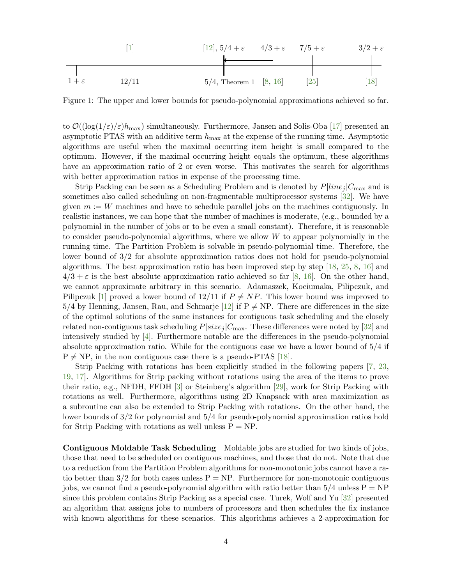1 + ε [\[1\]](#page-39-1) 12/11 [\[12\]](#page-40-0), 5/4 + ε 5/4, Theorem [1](#page-1-0) [\[8,](#page-40-1) [16\]](#page-41-0) 4/3 + ε [\[25\]](#page-41-7) 7/5 + ε [\[18\]](#page-41-8) 3/2 + ε

Figure 1: The upper and lower bounds for pseudo-polynomial approximations achieved so far.

to  $\mathcal{O}((\log(1/\varepsilon)/\varepsilon)h_{\max})$  simultaneously. Furthermore, Jansen and Solis-Oba [\[17\]](#page-41-4) presented an asymptotic PTAS with an additive term  $h_{\text{max}}$  at the expense of the running time. Asymptotic algorithms are useful when the maximal occurring item height is small compared to the optimum. However, if the maximal occurring height equals the optimum, these algorithms have an approximation ratio of 2 or even worse. This motivates the search for algorithms with better approximation ratios in expense of the processing time.

Strip Packing can be seen as a Scheduling Problem and is denoted by  $P|line_{i}|C_{\text{max}}$  and is sometimes also called scheduling on non-fragmentable multiprocessor systems [\[32\]](#page-42-4). We have given  $m := W$  machines and have to schedule parallel jobs on the machines contiguously. In realistic instances, we can hope that the number of machines is moderate, (e.g., bounded by a polynomial in the number of jobs or to be even a small constant). Therefore, it is reasonable to consider pseudo-polynomial algorithms, where we allow W to appear polynomially in the running time. The Partition Problem is solvable in pseudo-polynomial time. Therefore, the lower bound of 3/2 for absolute approximation ratios does not hold for pseudo-polynomial algorithms. The best approximation ratio has been improved step by step [\[18,](#page-41-8) [25,](#page-41-7) [8,](#page-40-1) [16\]](#page-41-0) and  $4/3 + \varepsilon$  is the best absolute approximation ratio achieved so far [\[8,](#page-40-1) [16\]](#page-41-0). On the other hand, we cannot approximate arbitrary in this scenario. Adamaszek, Kociumaka, Pilipczuk, and Pilipczuk [\[1\]](#page-39-1) proved a lower bound of  $12/11$  if  $P \neq NP$ . This lower bound was improved to  $5/4$  by Henning, Jansen, Rau, and Schmarje [\[12\]](#page-40-0) if  $P \neq NP$ . There are differences in the size of the optimal solutions of the same instances for contiguous task scheduling and the closely related non-contiguous task scheduling  $P|size_j|C_{\text{max}}$ . These differences were noted by [\[32\]](#page-42-4) and intensively studied by [\[4\]](#page-40-8). Furthermore notable are the differences in the pseudo-polynomial absolute approximation ratio. While for the contiguous case we have a lower bound of 5/4 if  $P \neq NP$ , in the non contiguous case there is a pseudo-PTAS [\[18\]](#page-41-8).

Strip Packing with rotations has been explicitly studied in the following papers [\[7,](#page-40-9) [23,](#page-41-9) [19,](#page-41-10) [17\]](#page-41-4). Algorithms for Strip packing without rotations using the area of the items to prove their ratio, e.g., NFDH, FFDH [\[3\]](#page-40-2) or Steinberg's algorithm [\[29\]](#page-42-2), work for Strip Packing with rotations as well. Furthermore, algorithms using 2D Knapsack with area maximization as a subroutine can also be extended to Strip Packing with rotations. On the other hand, the lower bounds of 3/2 for polynomial and 5/4 for pseudo-polynomial approximation ratios hold for Strip Packing with rotations as well unless  $P = NP$ .

Contiguous Moldable Task Scheduling Moldable jobs are studied for two kinds of jobs, those that need to be scheduled on contiguous machines, and those that do not. Note that due to a reduction from the Partition Problem algorithms for non-monotonic jobs cannot have a ratio better than  $3/2$  for both cases unless  $P = NP$ . Furthermore for non-monotonic contiguous jobs, we cannot find a pseudo-polynomial algorithm with ratio better than  $5/4$  unless  $P = NP$ since this problem contains Strip Packing as a special case. Turek, Wolf and Yu [\[32\]](#page-42-4) presented an algorithm that assigns jobs to numbers of processors and then schedules the fix instance with known algorithms for these scenarios. This algorithms achieves a 2-approximation for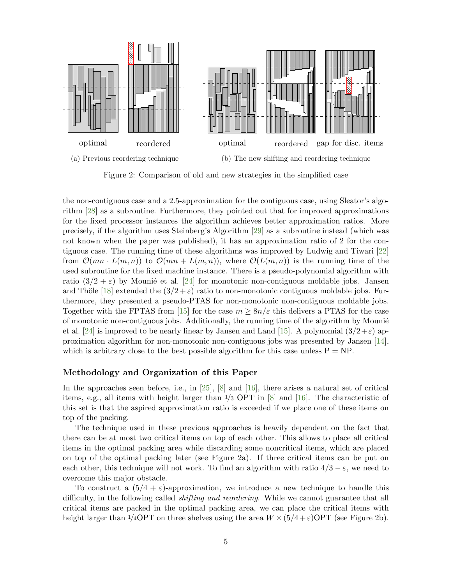<span id="page-4-0"></span>

Figure 2: Comparison of old and new strategies in the simplified case

the non-contiguous case and a 2.5-approximation for the contiguous case, using Sleator's algorithm [\[28\]](#page-42-1) as a subroutine. Furthermore, they pointed out that for improved approximations for the fixed processor instances the algorithm achieves better approximation ratios. More precisely, if the algorithm uses Steinberg's Algorithm [\[29\]](#page-42-2) as a subroutine instead (which was not known when the paper was published), it has an approximation ratio of 2 for the contiguous case. The running time of these algorithms was improved by Ludwig and Tiwari [\[22\]](#page-41-11) from  $\mathcal{O}(mn \cdot L(m,n))$  to  $\mathcal{O}(mn + L(m,n))$ , where  $\mathcal{O}(L(m,n))$  is the running time of the used subroutine for the fixed machine instance. There is a pseudo-polynomial algorithm with ratio  $(3/2 + \varepsilon)$  by Mounie et al. [\[24\]](#page-41-12) for monotonic non-contiguous moldable jobs. Jansen and Thöle [\[18\]](#page-41-8) extended the  $(3/2 + \varepsilon)$  ratio to non-monotonic contiguous moldable jobs. Furthermore, they presented a pseudo-PTAS for non-monotonic non-contiguous moldable jobs. Together with the FPTAS from [\[15\]](#page-41-1) for the case  $m \geq 8n/\varepsilon$  this delivers a PTAS for the case of monotonic non-contiguous jobs. Additionally, the running time of the algorithm by Mounie et al. [\[24\]](#page-41-12) is improved to be nearly linear by Jansen and Land [\[15\]](#page-41-1). A polynomial  $(3/2+\epsilon)$  approximation algorithm for non-monotonic non-contiguous jobs was presented by Jansen [\[14\]](#page-40-10), which is arbitrary close to the best possible algorithm for this case unless  $P = NP$ .

### Methodology and Organization of this Paper

In the approaches seen before, i.e., in [\[25\]](#page-41-7), [\[8\]](#page-40-1) and [\[16\]](#page-41-0), there arises a natural set of critical items, e.g., all items with height larger than 1/3 OPT in [\[8\]](#page-40-1) and [\[16\]](#page-41-0). The characteristic of this set is that the aspired approximation ratio is exceeded if we place one of these items on top of the packing.

The technique used in these previous approaches is heavily dependent on the fact that there can be at most two critical items on top of each other. This allows to place all critical items in the optimal packing area while discarding some noncritical items, which are placed on top of the optimal packing later (see Figure [2a\)](#page-4-0). If three critical items can be put on each other, this technique will not work. To find an algorithm with ratio  $4/3 - \varepsilon$ , we need to overcome this major obstacle.

To construct a  $(5/4 + \varepsilon)$ -approximation, we introduce a new technique to handle this difficulty, in the following called *shifting and reordering*. While we cannot guarantee that all critical items are packed in the optimal packing area, we can place the critical items with height larger than  $1/4$ OPT on three shelves using the area  $W \times (5/4 + \varepsilon)$ OPT (see Figure [2b\)](#page-4-0).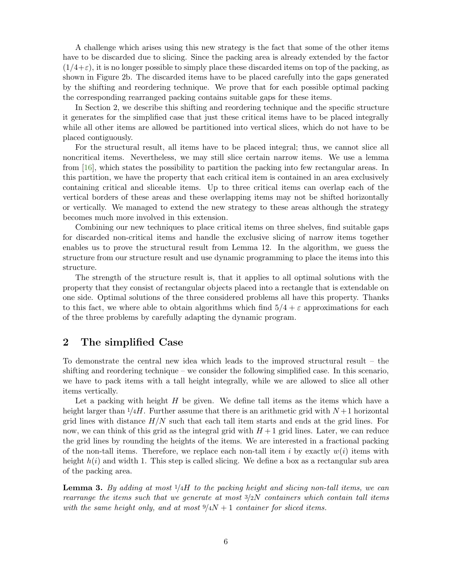A challenge which arises using this new strategy is the fact that some of the other items have to be discarded due to slicing. Since the packing area is already extended by the factor  $(1/4+\varepsilon)$ , it is no longer possible to simply place these discarded items on top of the packing, as shown in Figure [2b.](#page-4-0) The discarded items have to be placed carefully into the gaps generated by the shifting and reordering technique. We prove that for each possible optimal packing the corresponding rearranged packing contains suitable gaps for these items.

In Section [2,](#page-5-0) we describe this shifting and reordering technique and the specific structure it generates for the simplified case that just these critical items have to be placed integrally while all other items are allowed be partitioned into vertical slices, which do not have to be placed contiguously.

For the structural result, all items have to be placed integral; thus, we cannot slice all noncritical items. Nevertheless, we may still slice certain narrow items. We use a lemma from [\[16\]](#page-41-0), which states the possibility to partition the packing into few rectangular areas. In this partition, we have the property that each critical item is contained in an area exclusively containing critical and sliceable items. Up to three critical items can overlap each of the vertical borders of these areas and these overlapping items may not be shifted horizontally or vertically. We managed to extend the new strategy to these areas although the strategy becomes much more involved in this extension.

Combining our new techniques to place critical items on three shelves, find suitable gaps for discarded non-critical items and handle the exclusive slicing of narrow items together enables us to prove the structural result from Lemma [12.](#page-24-0) In the algorithm, we guess the structure from our structure result and use dynamic programming to place the items into this structure.

The strength of the structure result is, that it applies to all optimal solutions with the property that they consist of rectangular objects placed into a rectangle that is extendable on one side. Optimal solutions of the three considered problems all have this property. Thanks to this fact, we where able to obtain algorithms which find  $5/4 + \varepsilon$  approximations for each of the three problems by carefully adapting the dynamic program.

### <span id="page-5-0"></span>2 The simplified Case

To demonstrate the central new idea which leads to the improved structural result – the shifting and reordering technique – we consider the following simplified case. In this scenario, we have to pack items with a tall height integrally, while we are allowed to slice all other items vertically.

Let a packing with height  $H$  be given. We define tall items as the items which have a height larger than  $1/4H$ . Further assume that there is an arithmetic grid with  $N+1$  horizontal grid lines with distance  $H/N$  such that each tall item starts and ends at the grid lines. For now, we can think of this grid as the integral grid with  $H + 1$  grid lines. Later, we can reduce the grid lines by rounding the heights of the items. We are interested in a fractional packing of the non-tall items. Therefore, we replace each non-tall item i by exactly  $w(i)$  items with height  $h(i)$  and width 1. This step is called slicing. We define a box as a rectangular sub area of the packing area.

<span id="page-5-1"></span>**Lemma 3.** By adding at most  $1/4H$  to the packing height and slicing non-tall items, we can rearrange the items such that we generate at most  $3/2N$  containers which contain tall items with the same height only, and at most  $9/4N + 1$  container for sliced items.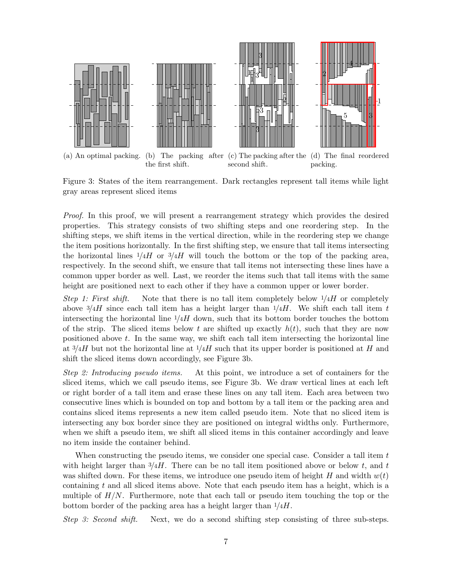<span id="page-6-0"></span>

Figure 3: States of the item rearrangement. Dark rectangles represent tall items while light gray areas represent sliced items

Proof. In this proof, we will present a rearrangement strategy which provides the desired properties. This strategy consists of two shifting steps and one reordering step. In the shifting steps, we shift items in the vertical direction, while in the reordering step we change the item positions horizontally. In the first shifting step, we ensure that tall items intersecting the horizontal lines  $1/4H$  or  $3/4H$  will touch the bottom or the top of the packing area, respectively. In the second shift, we ensure that tall items not intersecting these lines have a common upper border as well. Last, we reorder the items such that tall items with the same height are positioned next to each other if they have a common upper or lower border.

Step 1: First shift. Note that there is no tall item completely below  $1/4H$  or completely above  $\frac{3}{4}$  since each tall item has a height larger than  $\frac{1}{4}$ . We shift each tall item t intersecting the horizontal line  $1/4H$  down, such that its bottom border touches the bottom of the strip. The sliced items below t are shifted up exactly  $h(t)$ , such that they are now positioned above  $t$ . In the same way, we shift each tall item intersecting the horizontal line at  $3/4H$  but not the horizontal line at  $1/4H$  such that its upper border is positioned at H and shift the sliced items down accordingly, see Figure [3b.](#page-6-0)

Step 2: Introducing pseudo items. At this point, we introduce a set of containers for the sliced items, which we call pseudo items, see Figure [3b.](#page-6-0) We draw vertical lines at each left or right border of a tall item and erase these lines on any tall item. Each area between two consecutive lines which is bounded on top and bottom by a tall item or the packing area and contains sliced items represents a new item called pseudo item. Note that no sliced item is intersecting any box border since they are positioned on integral widths only. Furthermore, when we shift a pseudo item, we shift all sliced items in this container accordingly and leave no item inside the container behind.

When constructing the pseudo items, we consider one special case. Consider a tall item  $t$ with height larger than  $\frac{3}{4}$ . There can be no tall item positioned above or below t, and t was shifted down. For these items, we introduce one pseudo item of height H and width  $w(t)$ containing t and all sliced items above. Note that each pseudo item has a height, which is a multiple of  $H/N$ . Furthermore, note that each tall or pseudo item touching the top or the bottom border of the packing area has a height larger than  $1/4H$ .

Step 3: Second shift. Next, we do a second shifting step consisting of three sub-steps.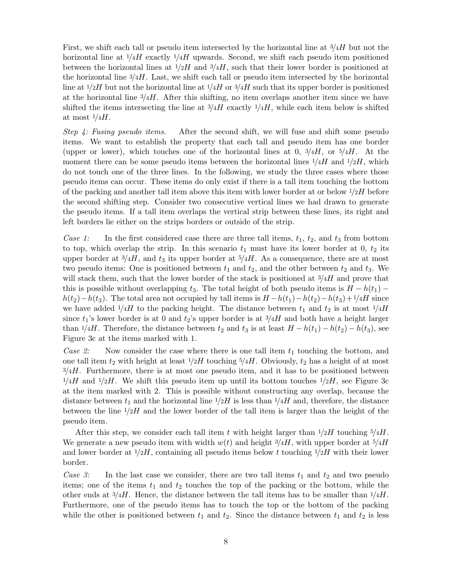First, we shift each tall or pseudo item intersected by the horizontal line at  $\frac{3}{4}$  but not the horizontal line at  $1/4H$  exactly  $1/4H$  upwards. Second, we shift each pseudo item positioned between the horizontal lines at  $1/2H$  and  $3/4H$ , such that their lower border is positioned at the horizontal line  $3/4H$ . Last, we shift each tall or pseudo item intersected by the horizontal line at  $1/2H$  but not the horizontal line at  $1/4H$  or  $3/4H$  such that its upper border is positioned at the horizontal line  $\frac{3}{4}$ . After this shifting, no item overlaps another item since we have shifted the items intersecting the line at  $\frac{3}{4}$  exactly  $\frac{1}{4}$ , while each item below is shifted at most  $1/4H$ .

Step 4: Fusing pseudo items. After the second shift, we will fuse and shift some pseudo items. We want to establish the property that each tall and pseudo item has one border (upper or lower), which touches one of the horizontal lines at 0,  $\frac{3}{4}H$ , or  $\frac{5}{4}H$ . At the moment there can be some pseudo items between the horizontal lines  $1/4H$  and  $1/2H$ , which do not touch one of the three lines. In the following, we study the three cases where those pseudo items can occur. These items do only exist if there is a tall item touching the bottom of the packing and another tall item above this item with lower border at or below  $\frac{1}{2}H$  before the second shifting step. Consider two consecutive vertical lines we had drawn to generate the pseudo items. If a tall item overlaps the vertical strip between these lines, its right and left borders lie either on the strips borders or outside of the strip.

Case 1: In the first considered case there are three tall items,  $t_1$ ,  $t_2$ , and  $t_3$  from bottom to top, which overlap the strip. In this scenario  $t_1$  must have its lower border at 0,  $t_2$  its upper border at  $3/4H$ , and  $t_3$  its upper border at  $5/4H$ . As a consequence, there are at most two pseudo items: One is positioned between  $t_1$  and  $t_2$ , and the other between  $t_2$  and  $t_3$ . We will stack them, such that the lower border of the stack is positioned at  $\frac{3}{4}H$  and prove that this is possible without overlapping  $t_3$ . The total height of both pseudo items is  $H - h(t_1)$  $h(t_2)-h(t_3)$ . The total area not occupied by tall items is  $H-h(t_1)-h(t_2)-h(t_3)+1/4H$  since we have added  $1/4H$  to the packing height. The distance between  $t_1$  and  $t_2$  is at most  $1/4H$ since  $t_1$ 's lower border is at 0 and  $t_2$ 's upper border is at  $3/4H$  and both have a height larger than  $1/4H$ . Therefore, the distance between  $t_2$  and  $t_3$  is at least  $H - h(t_1) - h(t_2) - h(t_3)$ , see Figure [3c](#page-6-0) at the items marked with 1.

Case 2: Now consider the case where there is one tall item  $t_1$  touching the bottom, and one tall item  $t_2$  with height at least  $1/2H$  touching  $5/4H$ . Obviously,  $t_2$  has a height of at most  $3/4H$ . Furthermore, there is at most one pseudo item, and it has to be positioned between  $1/4H$  and  $1/2H$ . We shift this pseudo item up until its bottom touches  $1/2H$ , see Figure [3c](#page-6-0) at the item marked with 2. This is possible without constructing any overlap, because the distance between  $t_1$  and the horizontal line  $1/2H$  is less than  $1/4H$  and, therefore, the distance between the line  $1/2H$  and the lower border of the tall item is larger than the height of the pseudo item.

After this step, we consider each tall item t with height larger than  $1/2H$  touching  $5/4H$ . We generate a new pseudo item with width  $w(t)$  and height  $\frac{3}{4}H$ , with upper border at  $\frac{5}{4}H$ and lower border at  $1/2H$ , containing all pseudo items below t touching  $1/2H$  with their lower border.

Case 3: In the last case we consider, there are two tall items  $t_1$  and  $t_2$  and two pseudo items; one of the items  $t_1$  and  $t_2$  touches the top of the packing or the bottom, while the other ends at  $\frac{3}{4}H$ . Hence, the distance between the tall items has to be smaller than  $\frac{1}{4}H$ . Furthermore, one of the pseudo items has to touch the top or the bottom of the packing while the other is positioned between  $t_1$  and  $t_2$ . Since the distance between  $t_1$  and  $t_2$  is less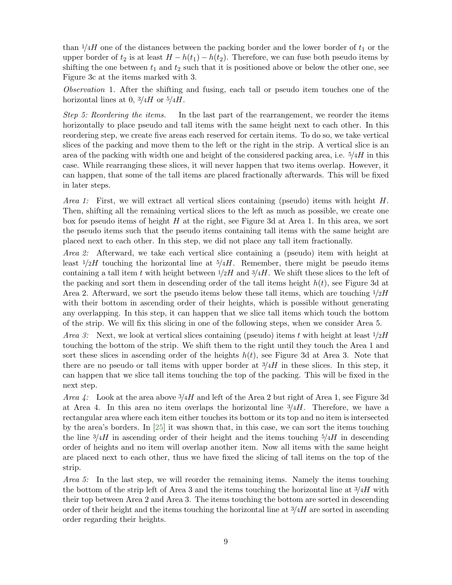than  $1/4H$  one of the distances between the packing border and the lower border of  $t_1$  or the upper border of  $t_2$  is at least  $H - h(t_1) - h(t_2)$ . Therefore, we can fuse both pseudo items by shifting the one between  $t_1$  and  $t_2$  such that it is positioned above or below the other one, see Figure [3c](#page-6-0) at the items marked with 3.

Observation 1. After the shifting and fusing, each tall or pseudo item touches one of the horizontal lines at 0,  $\frac{3}{4}$  or  $\frac{5}{4}$ .

Step 5: Reordering the items. In the last part of the rearrangement, we reorder the items horizontally to place pseudo and tall items with the same height next to each other. In this reordering step, we create five areas each reserved for certain items. To do so, we take vertical slices of the packing and move them to the left or the right in the strip. A vertical slice is an area of the packing with width one and height of the considered packing area, i.e.  $5/4H$  in this case. While rearranging these slices, it will never happen that two items overlap. However, it can happen, that some of the tall items are placed fractionally afterwards. This will be fixed in later steps.

*Area 1:* First, we will extract all vertical slices containing (pseudo) items with height  $H$ . Then, shifting all the remaining vertical slices to the left as much as possible, we create one box for pseudo items of height H at the right, see Figure [3d](#page-6-0) at Area 1. In this area, we sort the pseudo items such that the pseudo items containing tall items with the same height are placed next to each other. In this step, we did not place any tall item fractionally.

Area 2: Afterward, we take each vertical slice containing a (pseudo) item with height at least  $1/2H$  touching the horizontal line at  $5/4H$ . Remember, there might be pseudo items containing a tall item t with height between  $1/2H$  and  $3/4H$ . We shift these slices to the left of the packing and sort them in descending order of the tall items height  $h(t)$ , see Figure [3d](#page-6-0) at Area 2. Afterward, we sort the pseudo items below these tall items, which are touching  $1/2H$ with their bottom in ascending order of their heights, which is possible without generating any overlapping. In this step, it can happen that we slice tall items which touch the bottom of the strip. We will fix this slicing in one of the following steps, when we consider Area 5.

*Area 3:* Next, we look at vertical slices containing (pseudo) items t with height at least  $1/2H$ touching the bottom of the strip. We shift them to the right until they touch the Area 1 and sort these slices in ascending order of the heights  $h(t)$ , see Figure [3d](#page-6-0) at Area 3. Note that there are no pseudo or tall items with upper border at  $\frac{3}{4}$  in these slices. In this step, it can happen that we slice tall items touching the top of the packing. This will be fixed in the next step.

*Area 4:* Look at the area above  $\frac{3}{4}$  and left of the Area 2 but right of Area 1, see Figure [3d](#page-6-0) at Area 4. In this area no item overlaps the horizontal line  $\frac{3}{4}H$ . Therefore, we have a rectangular area where each item either touches its bottom or its top and no item is intersected by the area's borders. In [\[25\]](#page-41-7) it was shown that, in this case, we can sort the items touching the line  $\frac{3}{4}H$  in ascending order of their height and the items touching  $\frac{5}{4}H$  in descending order of heights and no item will overlap another item. Now all items with the same height are placed next to each other, thus we have fixed the slicing of tall items on the top of the strip.

Area 5: In the last step, we will reorder the remaining items. Namely the items touching the bottom of the strip left of Area 3 and the items touching the horizontal line at  $\frac{3}{4}H$  with their top between Area 2 and Area 3. The items touching the bottom are sorted in descending order of their height and the items touching the horizontal line at  $\frac{3}{4}H$  are sorted in ascending order regarding their heights.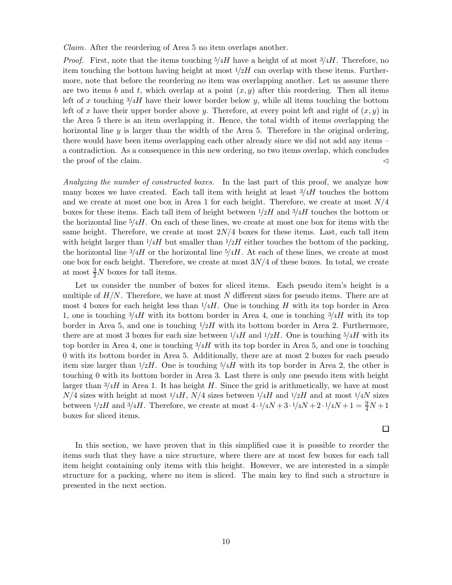Claim. After the reordering of Area 5 no item overlaps another.

*Proof.* First, note that the items touching  $5/4H$  have a height of at most  $3/4H$ . Therefore, no item touching the bottom having height at most  $1/2H$  can overlap with these items. Furthermore, note that before the reordering no item was overlapping another. Let us assume there are two items b and t, which overlap at a point  $(x, y)$  after this reordering. Then all items left of x touching  $\frac{3}{4}$  have their lower border below y, while all items touching the bottom left of x have their upper border above y. Therefore, at every point left and right of  $(x, y)$  in the Area 5 there is an item overlapping it. Hence, the total width of items overlapping the horizontal line  $\gamma$  is larger than the width of the Area 5. Therefore in the original ordering, there would have been items overlapping each other already since we did not add any items – a contradiction. As a consequence in this new ordering, no two items overlap, which concludes the proof of the claim.  $\triangleleft$ 

Analyzing the number of constructed boxes. In the last part of this proof, we analyze how many boxes we have created. Each tall item with height at least  $\frac{3}{4}$  touches the bottom and we create at most one box in Area 1 for each height. Therefore, we create at most  $N/4$ boxes for these items. Each tall item of height between  $1/2H$  and  $3/4H$  touches the bottom or the horizontal line  $\frac{5}{4}$ . On each of these lines, we create at most one box for items with the same height. Therefore, we create at most  $2N/4$  boxes for these items. Last, each tall item with height larger than  $1/4H$  but smaller than  $1/2H$  either touches the bottom of the packing, the horizontal line  $\frac{3}{4}H$  or the horizontal line  $\frac{5}{4}H$ . At each of these lines, we create at most one box for each height. Therefore, we create at most  $3N/4$  of these boxes. In total, we create at most  $\frac{3}{2}N$  boxes for tall items.

Let us consider the number of boxes for sliced items. Each pseudo item's height is a multiple of  $H/N$ . Therefore, we have at most N different sizes for pseudo items. There are at most 4 boxes for each height less than  $1/4H$ . One is touching H with its top border in Area 1, one is touching  $3/4H$  with its bottom border in Area 4, one is touching  $3/4H$  with its top border in Area 5, and one is touching  $1/2H$  with its bottom border in Area 2. Furthermore, there are at most 3 boxes for each size between  $1/4H$  and  $1/2H$ . One is touching  $5/4H$  with its top border in Area 4, one is touching  $\frac{3}{4}$  with its top border in Area 5, and one is touching 0 with its bottom border in Area 5. Additionally, there are at most 2 boxes for each pseudo item size larger than  $1/2H$ . One is touching  $5/4H$  with its top border in Area 2, the other is touching 0 with its bottom border in Area 3. Last there is only one pseudo item with height larger than  $\frac{3}{4}H$  in Area 1. It has height H. Since the grid is arithmetically, we have at most  $N/4$  sizes with height at most  $1/4H$ ,  $N/4$  sizes between  $1/4H$  and  $1/2H$  and at most  $1/4N$  sizes between  $1/2H$  and  $3/4H$ . Therefore, we create at most  $4 \cdot 1/4N + 3 \cdot 1/4N + 2 \cdot 1/4N + 1 = \frac{9}{4}N + 1$ boxes for sliced items.

 $\Box$ 

In this section, we have proven that in this simplified case it is possible to reorder the items such that they have a nice structure, where there are at most few boxes for each tall item height containing only items with this height. However, we are interested in a simple structure for a packing, where no item is sliced. The main key to find such a structure is presented in the next section.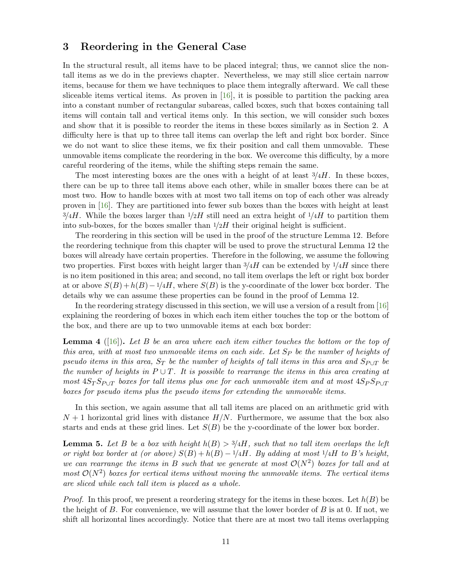# <span id="page-10-1"></span>3 Reordering in the General Case

In the structural result, all items have to be placed integral; thus, we cannot slice the nontall items as we do in the previews chapter. Nevertheless, we may still slice certain narrow items, because for them we have techniques to place them integrally afterward. We call these sliceable items vertical items. As proven in [\[16\]](#page-41-0), it is possible to partition the packing area into a constant number of rectangular subareas, called boxes, such that boxes containing tall items will contain tall and vertical items only. In this section, we will consider such boxes and show that it is possible to reorder the items in these boxes similarly as in Section [2.](#page-5-0) A difficulty here is that up to three tall items can overlap the left and right box border. Since we do not want to slice these items, we fix their position and call them unmovable. These unmovable items complicate the reordering in the box. We overcome this difficulty, by a more careful reordering of the items, while the shifting steps remain the same.

The most interesting boxes are the ones with a height of at least  $\frac{3}{4}H$ . In these boxes, there can be up to three tall items above each other, while in smaller boxes there can be at most two. How to handle boxes with at most two tall items on top of each other was already proven in [\[16\]](#page-41-0). They are partitioned into fewer sub boxes than the boxes with height at least  $3/4H$ . While the boxes larger than  $1/2H$  still need an extra height of  $1/4H$  to partition them into sub-boxes, for the boxes smaller than  $1/2H$  their original height is sufficient.

The reordering in this section will be used in the proof of the structure Lemma [12.](#page-24-0) Before the reordering technique from this chapter will be used to prove the structural Lemma [12](#page-24-0) the boxes will already have certain properties. Therefore in the following, we assume the following two properties. First boxes with height larger than  $3/4H$  can be extended by  $1/4H$  since there is no item positioned in this area; and second, no tall item overlaps the left or right box border at or above  $S(B)+h(B)-1/4H$ , where  $S(B)$  is the y-coordinate of the lower box border. The details why we can assume these properties can be found in the proof of Lemma [12.](#page-24-0)

In the reordering strategy discussed in this section, we will use a version of a result from [\[16\]](#page-41-0) explaining the reordering of boxes in which each item either touches the top or the bottom of the box, and there are up to two unmovable items at each box border:

<span id="page-10-0"></span>**Lemma 4** ([\[16\]](#page-41-0)). Let B be an area where each item either touches the bottom or the top of this area, with at most two unmovable items on each side. Let  $Sp$  be the number of heights of pseudo items in this area,  $S_T$  be the number of heights of tall items in this area and  $S_{P\cup T}$  be the number of heights in  $P \cup T$ . It is possible to rearrange the items in this area creating at most  $4S_T S_{P\cup T}$  boxes for tall items plus one for each unmovable item and at most  $4S_P S_{P\cup T}$ boxes for pseudo items plus the pseudo items for extending the unmovable items.

In this section, we again assume that all tall items are placed on an arithmetic grid with  $N+1$  horizontal grid lines with distance  $H/N$ . Furthermore, we assume that the box also starts and ends at these grid lines. Let  $S(B)$  be the y-coordinate of the lower box border.

<span id="page-10-2"></span>**Lemma 5.** Let B be a box with height  $h(B) > 3/4H$ , such that no tall item overlaps the left or right box border at (or above)  $S(B) + h(B) - 1/4H$ . By adding at most  $1/4H$  to B's height, we can rearrange the items in B such that we generate at most  $\mathcal{O}(N^2)$  boxes for tall and at most  $\mathcal{O}(N^2)$  boxes for vertical items without moving the unmovable items. The vertical items are sliced while each tall item is placed as a whole.

*Proof.* In this proof, we present a reordering strategy for the items in these boxes. Let  $h(B)$  be the height of  $B$ . For convenience, we will assume that the lower border of  $B$  is at 0. If not, we shift all horizontal lines accordingly. Notice that there are at most two tall items overlapping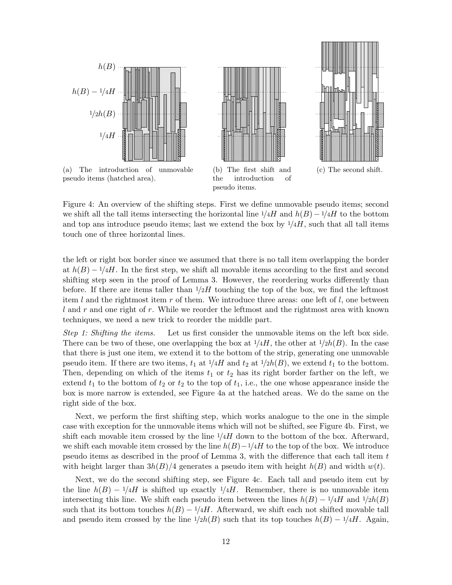<span id="page-11-0"></span>





(a) The introduction of unmovable pseudo items (hatched area).

(b) The first shift and the introduction of pseudo items.



Figure 4: An overview of the shifting steps. First we define unmovable pseudo items; second we shift all the tall items intersecting the horizontal line  $1/4H$  and  $h(B) - 1/4H$  to the bottom and top ans introduce pseudo items; last we extend the box by  $1/4H$ , such that all tall items touch one of three horizontal lines.

the left or right box border since we assumed that there is no tall item overlapping the border at  $h(B) - 1/4H$ . In the first step, we shift all movable items according to the first and second shifting step seen in the proof of Lemma [3.](#page-5-1) However, the reordering works differently than before. If there are items taller than  $1/2H$  touching the top of the box, we find the leftmost item  $l$  and the rightmost item  $r$  of them. We introduce three areas: one left of  $l$ , one between  $l$  and r and one right of r. While we reorder the leftmost and the rightmost area with known techniques, we need a new trick to reorder the middle part.

Step 1: Shifting the items. Let us first consider the unmovable items on the left box side. There can be two of these, one overlapping the box at  $1/4H$ , the other at  $1/2h(B)$ . In the case that there is just one item, we extend it to the bottom of the strip, generating one unmovable pseudo item. If there are two items,  $t_1$  at  $1/4H$  and  $t_2$  at  $1/2h(B)$ , we extend  $t_1$  to the bottom. Then, depending on which of the items  $t_1$  or  $t_2$  has its right border farther on the left, we extend  $t_1$  to the bottom of  $t_2$  or  $t_2$  to the top of  $t_1$ , i.e., the one whose appearance inside the box is more narrow is extended, see Figure [4a](#page-11-0) at the hatched areas. We do the same on the right side of the box.

Next, we perform the first shifting step, which works analogue to the one in the simple case with exception for the unmovable items which will not be shifted, see Figure [4b.](#page-11-0) First, we shift each movable item crossed by the line  $1/4H$  down to the bottom of the box. Afterward, we shift each movable item crossed by the line  $h(B)-1/4H$  to the top of the box. We introduce pseudo items as described in the proof of Lemma [3,](#page-5-1) with the difference that each tall item t with height larger than  $3h(B)/4$  generates a pseudo item with height  $h(B)$  and width  $w(t)$ .

Next, we do the second shifting step, see Figure [4c.](#page-11-0) Each tall and pseudo item cut by the line  $h(B) - 1/4H$  is shifted up exactly  $1/4H$ . Remember, there is no unmovable item intersecting this line. We shift each pseudo item between the lines  $h(B) - 1/4H$  and  $1/2h(B)$ such that its bottom touches  $h(B) - 1/4H$ . Afterward, we shift each not shifted movable tall and pseudo item crossed by the line  $1/2h(B)$  such that its top touches  $h(B) - 1/4H$ . Again,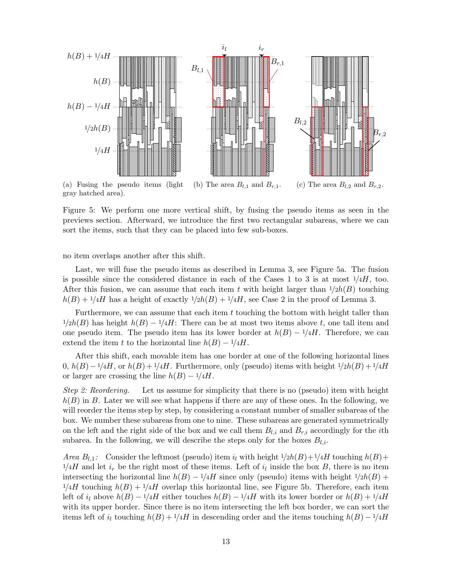<span id="page-12-0"></span>

Figure 5: We perform one more vertical shift, by fusing the pseudo items as seen in the previews section. Afterward, we introduce the first two rectangular subareas, where we can sort the items, such that they can be placed into few sub-boxes.

no item overlaps another after this shift.

Last, we will fuse the pseudo items as described in Lemma [3,](#page-5-1) see Figure [5a.](#page-12-0) The fusion is possible since the considered distance in each of the Cases 1 to 3 is at most  $\frac{1}{4}$ , too. After this fusion, we can assume that each item t with height larger than  $1/2h(B)$  touching  $h(B) + 1/4H$  has a height of exactly  $1/2h(B) + 1/4H$ , see Case 2 in the proof of Lemma [3.](#page-5-1)

Furthermore, we can assume that each item  $t$  touching the bottom with height taller than  $1/2h(B)$  has height  $h(B) - 1/4H$ : There can be at most two items above t, one tall item and one pseudo item. The pseudo item has its lower border at  $h(B) - 1/4H$ . Therefore, we can extend the item t to the horizontal line  $h(B) - 1/4H$ .

After this shift, each movable item has one border at one of the following horizontal lines  $0, h(B)-1/4H$ , or  $h(B)+1/4H$ . Furthermore, only (pseudo) items with height  $1/2h(B)+1/4H$ or larger are crossing the line  $h(B) - 1/4H$ .

Step 2: Reordering. Let us assume for simplicity that there is no (pseudo) item with height  $h(B)$  in B. Later we will see what happens if there are any of these ones. In the following, we will reorder the items step by step, by considering a constant number of smaller subareas of the box. We number these subareas from one to nine. These subareas are generated symmetrically on the left and the right side of the box and we call them  $B_{l,i}$  and  $B_{r,i}$  accordingly for the *i*th subarea. In the following, we will describe the steps only for the boxes  $B_{l,i}$ .

Area  $B_{l,1}$ : Consider the leftmost (pseudo) item  $i_l$  with height  $1/2h(B)+1/4H$  touching  $h(B)+1/4H$  $1/4H$  and let  $i_r$  be the right most of these items. Left of  $i_l$  inside the box B, there is no item intersecting the horizontal line  $h(B) - 1/4H$  since only (pseudo) items with height  $1/2h(B)$  +  $1/4H$  touching  $h(B) + 1/4H$  overlap this horizontal line, see Figure [5b.](#page-12-0) Therefore, each item left of  $i_l$  above  $h(B) - 1/4H$  either touches  $h(B) - 1/4H$  with its lower border or  $h(B) + 1/4H$ with its upper border. Since there is no item intersecting the left box border, we can sort the items left of i<sub>l</sub> touching  $h(B) + \frac{1}{4}H$  in descending order and the items touching  $h(B) - \frac{1}{4}H$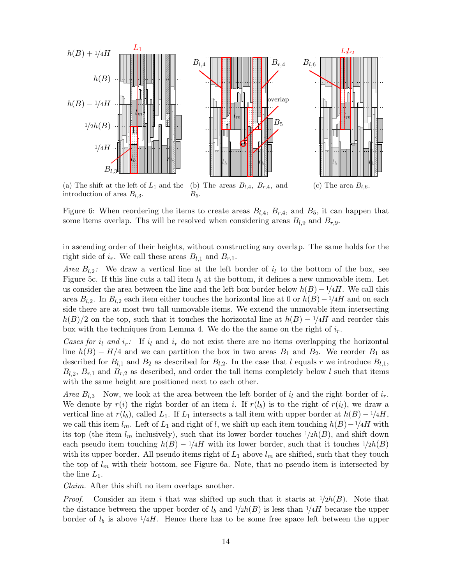<span id="page-13-0"></span>

Figure 6: When reordering the items to create areas  $B_{l,4}$ ,  $B_{r,4}$ , and  $B_5$ , it can happen that some items overlap. Ths will be resolved when considering areas  $B_{l,9}$  and  $B_{r,9}$ .

in ascending order of their heights, without constructing any overlap. The same holds for the right side of  $i_r$ . We call these areas  $B_{l,1}$  and  $B_{r,1}$ .

*Area*  $B_{l,2}$ : We draw a vertical line at the left border of  $i_l$  to the bottom of the box, see Figure [5c.](#page-12-0) If this line cuts a tall item  $l<sub>b</sub>$  at the bottom, it defines a new unmovable item. Let us consider the area between the line and the left box border below  $h(B)-1/4H$ . We call this area  $B_{l,2}$ . In  $B_{l,2}$  each item either touches the horizontal line at 0 or  $h(B)-1/4H$  and on each side there are at most two tall unmovable items. We extend the unmovable item intersecting  $h(B)/2$  on the top, such that it touches the horizontal line at  $h(B) - 1/4H$  and reorder this box with the techniques from Lemma [4.](#page-10-0) We do the the same on the right of  $i_r$ .

Cases for  $i_l$  and  $i_r$ : If  $i_l$  and  $i_r$  do not exist there are no items overlapping the horizontal line  $h(B) - H/4$  and we can partition the box in two areas  $B_1$  and  $B_2$ . We reorder  $B_1$  as described for  $B_{l,1}$  and  $B_2$  as described for  $B_{l,2}$ . In the case that l equals r we introduce  $B_{l,1}$ ,  $B_{l,2}, B_{r,1}$  and  $B_{r,2}$  as described, and order the tall items completely below l such that items with the same height are positioned next to each other.

Area  $B_{l,3}$  Now, we look at the area between the left border of  $i_l$  and the right border of  $i_r$ . We denote by  $r(i)$  the right border of an item i. If  $r(l_b)$  is to the right of  $r(i_l)$ , we draw a vertical line at  $r(l_b)$ , called  $L_1$ . If  $L_1$  intersects a tall item with upper border at  $h(B) - \frac{1}{4}H$ , we call this item  $l_m$ . Left of  $L_1$  and right of l, we shift up each item touching  $h(B)-1/4H$  with its top (the item  $l_m$  inclusively), such that its lower border touches  $1/2h(B)$ , and shift down each pseudo item touching  $h(B) - 1/4H$  with its lower border, such that it touches  $1/2h(B)$ with its upper border. All pseudo items right of  $L_1$  above  $l_m$  are shifted, such that they touch the top of  $l_m$  with their bottom, see Figure [6a.](#page-13-0) Note, that no pseudo item is intersected by the line  $L_1$ .

Claim. After this shift no item overlaps another.

*Proof.* Consider an item i that was shifted up such that it starts at  $1/2h(B)$ . Note that the distance between the upper border of  $l_b$  and  $1/2h(B)$  is less than  $1/4H$  because the upper border of  $l_b$  is above  $1/4H$ . Hence there has to be some free space left between the upper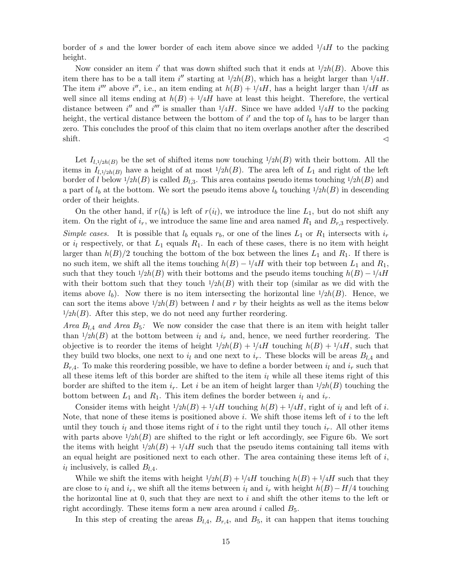border of s and the lower border of each item above since we added  $1/4H$  to the packing height.

Now consider an item i' that was down shifted such that it ends at  $1/2h(B)$ . Above this item there has to be a tall item i'' starting at  $1/2h(B)$ , which has a height larger than  $1/4H$ . The item i''' above i'', i.e., an item ending at  $h(B) + 1/4H$ , has a height larger than  $1/4H$  as well since all items ending at  $h(B) + 1/4H$  have at least this height. Therefore, the vertical distance between i'' and i''' is smaller than  $1/4H$ . Since we have added  $1/4H$  to the packing height, the vertical distance between the bottom of  $i'$  and the top of  $l_b$  has to be larger than zero. This concludes the proof of this claim that no item overlaps another after the described shift.  $\triangleleft$ 

Let  $I_{l,1/2h(B)}$  be the set of shifted items now touching  $1/2h(B)$  with their bottom. All the items in  $I_{l,1/2h(B)}$  have a height of at most  $1/2h(B)$ . The area left of  $L_1$  and right of the left border of l below  $1/2h(B)$  is called  $B_{l,3}$ . This area contains pseudo items touching  $1/2h(B)$  and a part of  $l_b$  at the bottom. We sort the pseudo items above  $l_b$  touching  $1/2h(B)$  in descending order of their heights.

On the other hand, if  $r(l_b)$  is left of  $r(i_l)$ , we introduce the line  $L_1$ , but do not shift any item. On the right of  $i_r$ , we introduce the same line and area named  $R_1$  and  $B_r$ , a respectively. Simple cases. It is possible that  $l_b$  equals  $r_b$ , or one of the lines  $L_1$  or  $R_1$  intersects with  $i_r$ or  $i_l$  respectively, or that  $L_1$  equals  $R_1$ . In each of these cases, there is no item with height larger than  $h(B)/2$  touching the bottom of the box between the lines  $L_1$  and  $R_1$ . If there is no such item, we shift all the items touching  $h(B) - \frac{1}{4}H$  with their top between  $L_1$  and  $R_1$ , such that they touch  $1/2h(B)$  with their bottoms and the pseudo items touching  $h(B) - 1/4H$ with their bottom such that they touch  $1/2h(B)$  with their top (similar as we did with the items above  $l_b$ ). Now there is no item intersecting the horizontal line  $1/2h(B)$ . Hence, we can sort the items above  $1/2h(B)$  between l and r by their heights as well as the items below  $1/2h(B)$ . After this step, we do not need any further reordering.

Area  $B_{l,4}$  and Area  $B_5$ : We now consider the case that there is an item with height taller than  $1/2h(B)$  at the bottom between  $i_l$  and  $i_r$  and, hence, we need further reordering. The objective is to reorder the items of height  $1/2h(B) + 1/4H$  touching  $h(B) + 1/4H$ , such that they build two blocks, one next to  $i_l$  and one next to  $i_r$ . These blocks will be areas  $B_{l,4}$  and  $B_{r,4}$ . To make this reordering possible, we have to define a border between  $i_l$  and  $i_r$  such that all these items left of this border are shifted to the item  $i_l$  while all these items right of this border are shifted to the item  $i_r$ . Let i be an item of height larger than  $1/2h(B)$  touching the bottom between  $L_1$  and  $R_1$ . This item defines the border between  $i_l$  and  $i_r$ .

Consider items with height  $1/2h(B) + 1/4H$  touching  $h(B) + 1/4H$ , right of  $i_l$  and left of i. Note, that none of these items is positioned above i. We shift those items left of  $i$  to the left until they touch  $i_l$  and those items right of i to the right until they touch  $i_r$ . All other items with parts above  $1/2h(B)$  are shifted to the right or left accordingly, see Figure [6b.](#page-13-0) We sort the items with height  $1/2h(B) + 1/4H$  such that the pseudo items containing tall items with an equal height are positioned next to each other. The area containing these items left of  $i$ ,  $i_l$  inclusively, is called  $B_{l,4}$ .

While we shift the items with height  $1/2h(B) + 1/4H$  touching  $h(B) + 1/4H$  such that they are close to  $i_l$  and  $i_r$ , we shift all the items between  $i_l$  and  $i_r$  with height  $h(B)-H/4$  touching the horizontal line at 0, such that they are next to  $i$  and shift the other items to the left or right accordingly. These items form a new area around i called  $B_5$ .

In this step of creating the areas  $B_{l,4}$ ,  $B_{r,4}$ , and  $B_5$ , it can happen that items touching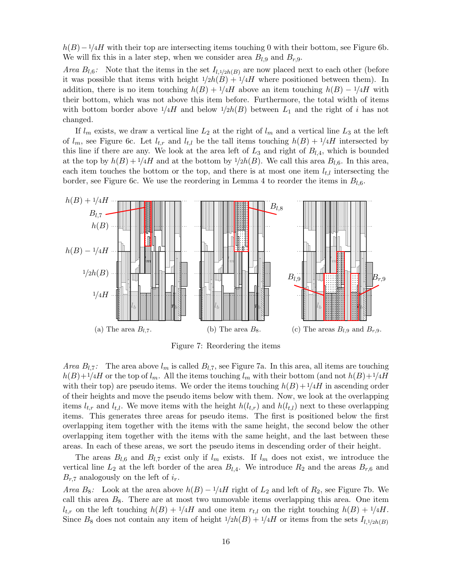$h(B)-1/4H$  with their top are intersecting items touching 0 with their bottom, see Figure [6b.](#page-13-0) We will fix this in a later step, when we consider area  $B_{l,9}$  and  $B_{r,9}$ .

*Area*  $B_{l,6}$ : Note that the items in the set  $I_{l,1/2h(B)}$  are now placed next to each other (before it was possible that items with height  $1/2h(B) + 1/4H$  where positioned between them). In addition, there is no item touching  $h(B) + \frac{1}{4}H$  above an item touching  $h(B) - \frac{1}{4}H$  with their bottom, which was not above this item before. Furthermore, the total width of items with bottom border above  $1/4H$  and below  $1/2h(B)$  between  $L_1$  and the right of i has not changed.

If  $l_m$  exists, we draw a vertical line  $L_2$  at the right of  $l_m$  and a vertical line  $L_3$  at the left of  $l_m$ , see Figure [6c.](#page-13-0) Let  $l_{t,r}$  and  $l_{t,l}$  be the tall items touching  $h(B) + 1/4H$  intersected by this line if there are any. We look at the area left of  $L_3$  and right of  $B_{l,4}$ , which is bounded at the top by  $h(B) + \frac{1}{4}H$  and at the bottom by  $\frac{1}{2}h(B)$ . We call this area  $B_{l,6}$ . In this area, each item touches the bottom or the top, and there is at most one item  $l_{t,l}$  intersecting the border, see Figure [6c.](#page-13-0) We use the reordering in Lemma [4](#page-10-0) to reorder the items in  $B_{l,6}$ .

<span id="page-15-0"></span>

Figure 7: Reordering the items

Area  $B_{l,7}$ : The area above  $l_m$  is called  $B_{l,7}$ , see Figure [7a.](#page-15-0) In this area, all items are touching  $h(B)+1/4H$  or the top of  $l_m$ . All the items touching  $l_m$  with their bottom (and not  $h(B)+1/4H$ with their top) are pseudo items. We order the items touching  $h(B)+1/4H$  in ascending order of their heights and move the pseudo items below with them. Now, we look at the overlapping items  $l_{t,r}$  and  $l_{t,l}$ . We move items with the height  $h(l_{t,r})$  and  $h(l_{t,l})$  next to these overlapping items. This generates three areas for pseudo items. The first is positioned below the first overlapping item together with the items with the same height, the second below the other overlapping item together with the items with the same height, and the last between these areas. In each of these areas, we sort the pseudo items in descending order of their height.

The areas  $B_{l,6}$  and  $B_{l,7}$  exist only if  $l_m$  exists. If  $l_m$  does not exist, we introduce the vertical line  $L_2$  at the left border of the area  $B_{l,4}$ . We introduce  $R_2$  and the areas  $B_{r,6}$  and  $B_{r,7}$  analogously on the left of  $i_r$ .

Area B<sub>8</sub>: Look at the area above  $h(B) - 1/4H$  right of  $L_2$  and left of  $R_2$ , see Figure [7b.](#page-15-0) We call this area  $B_8$ . There are at most two unmovable items overlapping this area. One item  $l_{t,r}$  on the left touching  $h(B) + 1/4H$  and one item  $r_{t,l}$  on the right touching  $h(B) + 1/4H$ . Since  $B_8$  does not contain any item of height  $1/2h(B) + 1/4H$  or items from the sets  $I_{l,1/2h(B)}$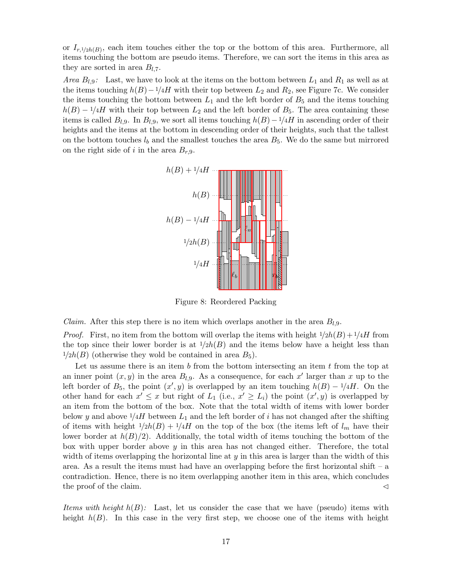or  $I_{r,1/2h(B)}$ , each item touches either the top or the bottom of this area. Furthermore, all items touching the bottom are pseudo items. Therefore, we can sort the items in this area as they are sorted in area  $B_{l,7}$ .

Area  $B_{l,9}$ : Last, we have to look at the items on the bottom between  $L_1$  and  $R_1$  as well as at the items touching  $h(B)-1/4H$  with their top between  $L_2$  and  $R_2$ , see Figure [7c.](#page-15-0) We consider the items touching the bottom between  $L_1$  and the left border of  $B_5$  and the items touching  $h(B) - 1/4H$  with their top between  $L_2$  and the left border of  $B_5$ . The area containing these items is called  $B_{l,9}$ . In  $B_{l,9}$ , we sort all items touching  $h(B)-1/4H$  in ascending order of their heights and the items at the bottom in descending order of their heights, such that the tallest on the bottom touches  $l_b$  and the smallest touches the area  $B_5$ . We do the same but mirrored on the right side of i in the area  $B_{r,9}$ .



Figure 8: Reordered Packing

*Claim.* After this step there is no item which overlaps another in the area  $B_{l,9}$ .

*Proof.* First, no item from the bottom will overlap the items with height  $1/2h(B)+1/4H$  from the top since their lower border is at  $1/2h(B)$  and the items below have a height less than  $1/2h(B)$  (otherwise they wold be contained in area  $B_5$ ).

Let us assume there is an item b from the bottom intersecting an item t from the top at an inner point  $(x, y)$  in the area  $B_{l,9}$ . As a consequence, for each x' larger than x up to the left border of  $B_5$ , the point  $(x', y)$  is overlapped by an item touching  $h(B) - 1/4H$ . On the other hand for each  $x' \leq x$  but right of  $L_1$  (i.e.,  $x' \geq L_i$ ) the point  $(x', y)$  is overlapped by an item from the bottom of the box. Note that the total width of items with lower border below y and above  $1/4H$  between  $L_1$  and the left border of i has not changed after the shifting of items with height  $1/2h(B) + 1/4H$  on the top of the box (the items left of  $l_m$  have their lower border at  $h(B)/2$ ). Additionally, the total width of items touching the bottom of the box with upper border above  $y$  in this area has not changed either. Therefore, the total width of items overlapping the horizontal line at  $y$  in this area is larger than the width of this area. As a result the items must had have an overlapping before the first horizontal shift – a contradiction. Hence, there is no item overlapping another item in this area, which concludes the proof of the claim.  $\triangleleft$ 

Items with height  $h(B)$ : Last, let us consider the case that we have (pseudo) items with height  $h(B)$ . In this case in the very first step, we choose one of the items with height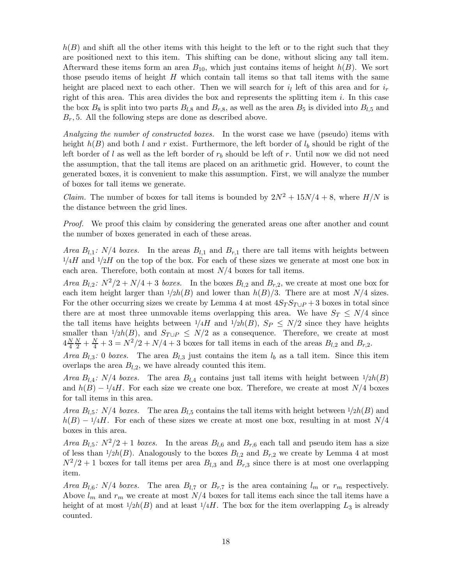$h(B)$  and shift all the other items with this height to the left or to the right such that they are positioned next to this item. This shifting can be done, without slicing any tall item. Afterward these items form an area  $B_{10}$ , which just contains items of height  $h(B)$ . We sort those pseudo items of height  $H$  which contain tall items so that tall items with the same height are placed next to each other. Then we will search for  $i_l$  left of this area and for  $i_r$ right of this area. This area divides the box and represents the splitting item  $i$ . In this case the box  $B_8$  is split into two parts  $B_{l,8}$  and  $B_{r,8}$ , as well as the area  $B_5$  is divided into  $B_{l,5}$  and  $B_r$ , 5. All the following steps are done as described above.

Analyzing the number of constructed boxes. In the worst case we have (pseudo) items with height  $h(B)$  and both l and r exist. Furthermore, the left border of  $l_b$  should be right of the left border of l as well as the left border of  $r<sub>b</sub>$  should be left of r. Until now we did not need the assumption, that the tall items are placed on an arithmetic grid. However, to count the generated boxes, it is convenient to make this assumption. First, we will analyze the number of boxes for tall items we generate.

*Claim.* The number of boxes for tall items is bounded by  $2N^2 + 15N/4 + 8$ , where  $H/N$  is the distance between the grid lines.

Proof. We proof this claim by considering the generated areas one after another and count the number of boxes generated in each of these areas.

Area  $B_{l,1}: N/4$  boxes. In the areas  $B_{l,1}$  and  $B_{r,1}$  there are tall items with heights between  $1/4H$  and  $1/2H$  on the top of the box. For each of these sizes we generate at most one box in each area. Therefore, both contain at most  $N/4$  boxes for tall items.

Area  $B_{l,2}: N^2/2+N/4+3$  boxes. In the boxes  $B_{l,2}$  and  $B_{r,2}$ , we create at most one box for each item height larger than  $1/2h(B)$  and lower than  $h(B)/3$ . There are at most  $N/4$  sizes. For the other occurring sizes we create by Lemma [4](#page-10-0) at most  $4S_T S_{T \cup P} + 3$  boxes in total since there are at most three unmovable items overlapping this area. We have  $S_T \le N/4$  since the tall items have heights between  $\frac{1}{4}$  and  $\frac{1}{2}h(B)$ ,  $S_P \le N/2$  since they have heights smaller than  $1/2h(B)$ , and  $S_{T\cup P} \leq N/2$  as a consequence. Therefore, we create at most  $4\frac{N}{4}$ 4  $\frac{N}{2} + \frac{N}{4} + 3 = N^2/2 + N/4 + 3$  boxes for tall items in each of the areas  $B_{l,2}$  and  $B_{r,2}$ .

Area  $B_{l,3}: 0$  boxes. The area  $B_{l,3}$  just contains the item  $l_b$  as a tall item. Since this item overlaps the area  $B_{l,2}$ , we have already counted this item.

Area  $B_{l,4}: N/4$  boxes. The area  $B_{l,4}$  contains just tall items with height between  $1/2h(B)$ and  $h(B) - 1/4H$ . For each size we create one box. Therefore, we create at most  $N/4$  boxes for tall items in this area.

Area  $B_{l,5}: N/4$  boxes. The area  $B_{l,5}$  contains the tall items with height between  $1/2h(B)$  and  $h(B) - 1/4H$ . For each of these sizes we create at most one box, resulting in at most  $N/4$ boxes in this area.

Area  $B_{l,5}: N^2/2+1$  boxes. In the areas  $B_{l,6}$  and  $B_{r,6}$  each tall and pseudo item has a size of less than  $1/2h(B)$ . Analogously to the boxes  $B_{l,2}$  and  $B_{r,2}$  we create by Lemma [4](#page-10-0) at most  $N^2/2 + 1$  boxes for tall items per area  $B_{l,3}$  and  $B_{r,3}$  since there is at most one overlapping item.

Area  $B_{l,6}: N/4$  boxes. The area  $B_{l,7}$  or  $B_{r,7}$  is the area containing  $l_m$  or  $r_m$  respectively. Above  $l_m$  and  $r_m$  we create at most  $N/4$  boxes for tall items each since the tall items have a height of at most  $1/2h(B)$  and at least  $1/4H$ . The box for the item overlapping  $L_3$  is already counted.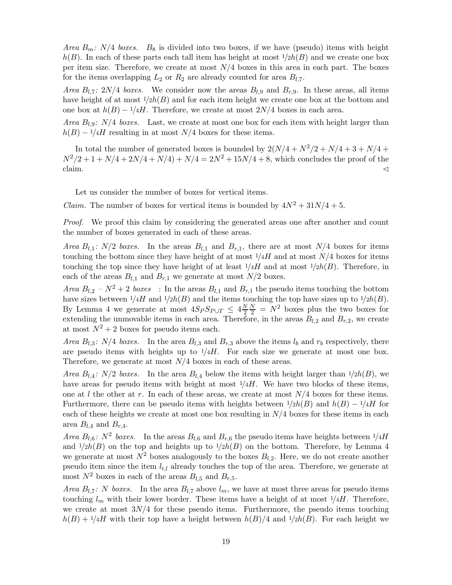*Area*  $B_m$ :  $N/4$  boxes.  $B_8$  is divided into two boxes, if we have (pseudo) items with height  $h(B)$ . In each of these parts each tall item has height at most  $1/2h(B)$  and we create one box per item size. Therefore, we create at most  $N/4$  boxes in this area in each part. The boxes for the items overlapping  $L_2$  or  $R_2$  are already counted for area  $B_{l,7}$ .

Area  $B_{l,7}$ :  $2N/4$  boxes. We consider now the areas  $B_{l,9}$  and  $B_{r,9}$ . In these areas, all items have height of at most  $\frac{1}{2h(B)}$  and for each item height we create one box at the bottom and one box at  $h(B) - 1/4H$ . Therefore, we create at most  $2N/4$  boxes in each area.

*Area*  $B_{l,9}: N/4$  *boxes.* Last, we create at most one box for each item with height larger than  $h(B) - 1/4H$  resulting in at most N/4 boxes for these items.

In total the number of generated boxes is bounded by  $2(N/4 + N^2/2 + N/4 + 3 + N/4 +$  $N^2/2 + 1 + N/4 + 2N/4 + N/4 + N/4 = 2N^2 + 15N/4 + 8$ , which concludes the proof of the claim.  $\triangleleft$ 

Let us consider the number of boxes for vertical items.

*Claim.* The number of boxes for vertical items is bounded by  $4N^2 + 31N/4 + 5$ .

Proof. We proof this claim by considering the generated areas one after another and count the number of boxes generated in each of these areas.

Area  $B_{l,1}: N/2$  boxes. In the areas  $B_{l,1}$  and  $B_{r,1}$ , there are at most  $N/4$  boxes for items touching the bottom since they have height of at most  $1/4H$  and at most  $N/4$  boxes for items touching the top since they have height of at least  $1/4H$  and at most  $1/2h(B)$ . Therefore, in each of the areas  $B_{l,1}$  and  $B_{r,1}$  we generate at most  $N/2$  boxes.

Area  $B_{l,2} - N^2 + 2$  boxes : In the areas  $B_{l,1}$  and  $B_{r,1}$  the pseudo items touching the bottom have sizes between  $1/4H$  and  $1/2h(B)$  and the items touching the top have sizes up to  $1/2h(B)$ . By Lemma [4](#page-10-0) we generate at most  $4S_P S_{P\cup T} \leq 4\frac{N}{2}$ 2  $\frac{N}{2}$  =  $N^2$  boxes plus the two boxes for extending the unmovable items in each area. Therefore, in the areas  $B_{l,2}$  and  $B_{r,2}$ , we create at most  $N^2 + 2$  boxes for pseudo items each.

Area  $B_{l,3}: N/4$  boxes. In the area  $B_{l,3}$  and  $B_{r,3}$  above the items  $l_b$  and  $r_b$  respectively, there are pseudo items with heights up to  $1/4H$ . For each size we generate at most one box. Therefore, we generate at most  $N/4$  boxes in each of these areas.

Area  $B_{l,4}: N/2$  boxes. In the area  $B_{l,4}$  below the items with height larger than  $1/2h(B)$ , we have areas for pseudo items with height at most  $\frac{1}{4}$ . We have two blocks of these items, one at l the other at r. In each of these areas, we create at most  $N/4$  boxes for these items. Furthermore, there can be pseudo items with heights between  $1/2h(B)$  and  $h(B) - 1/4H$  for each of these heights we create at most one box resulting in  $N/4$  boxes for these items in each area  $B_{l,4}$  and  $B_{r,4}$ .

Area  $B_{l,6}$ :  $N^2$  boxes. In the areas  $B_{l,6}$  and  $B_{r,6}$  the pseudo items have heights between  $1/4H$ and  $1/2h(B)$  on the top and heights up to  $1/2h(B)$  on the bottom. Therefore, by Lemma [4](#page-10-0) we generate at most  $N^2$  boxes analogously to the boxes  $B_{l,2}$ . Here, we do not create another pseudo item since the item  $l_{t,l}$  already touches the top of the area. Therefore, we generate at most  $N^2$  boxes in each of the areas  $B_{l,5}$  and  $B_{r,5}$ .

Area  $B_{l,7}: N$  boxes. In the area  $B_{l,7}$  above  $l_m$ , we have at most three areas for pseudo items touching  $l_m$  with their lower border. These items have a height of at most  $1/4H$ . Therefore, we create at most  $3N/4$  for these pseudo items. Furthermore, the pseudo items touching  $h(B) + 1/4H$  with their top have a height between  $h(B)/4$  and  $1/2h(B)$ . For each height we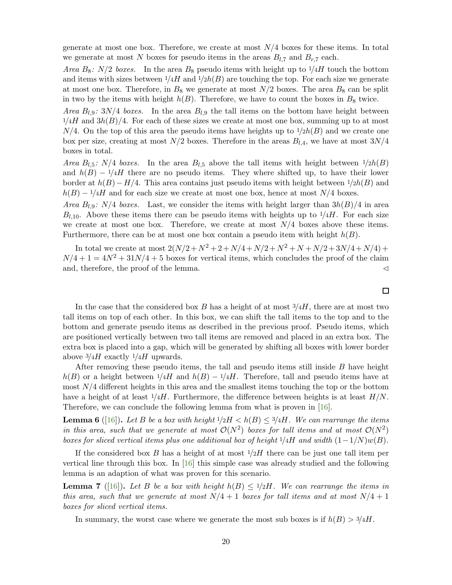generate at most one box. Therefore, we create at most  $N/4$  boxes for these items. In total we generate at most N boxes for pseudo items in the areas  $B_{l,7}$  and  $B_{r,7}$  each.

Area  $B_8$ :  $N/2$  boxes. In the area  $B_8$  pseudo items with height up to  $1/4H$  touch the bottom and items with sizes between  $1/4H$  and  $1/2h(B)$  are touching the top. For each size we generate at most one box. Therefore, in  $B_8$  we generate at most  $N/2$  boxes. The area  $B_8$  can be split in two by the items with height  $h(B)$ . Therefore, we have to count the boxes in  $B_8$  twice.

*Area*  $B_{l,9}: 3N/4$  boxes. In the area  $B_{l,9}$  the tall items on the bottom have height between  $1/4H$  and  $3h(B)/4$ . For each of these sizes we create at most one box, summing up to at most  $N/4$ . On the top of this area the pseudo items have heights up to  $1/2h(B)$  and we create one box per size, creating at most  $N/2$  boxes. Therefore in the areas  $B_{l,4}$ , we have at most  $3N/4$ boxes in total.

*Area*  $B_{l,5}$ :  $N/4$  *boxes*. In the area  $B_{l,5}$  above the tall items with height between  $1/2h(B)$ and  $h(B) - 1/4H$  there are no pseudo items. They where shifted up, to have their lower border at  $h(B) - H/4$ . This area contains just pseudo items with height between  $1/2h(B)$  and  $h(B) - 1/4H$  and for each size we create at most one box, hence at most  $N/4$  boxes.

Area  $B_{l,9}: N/4$  boxes. Last, we consider the items with height larger than  $3h(B)/4$  in area  $B_{l,10}$ . Above these items there can be pseudo items with heights up to  $1/4H$ . For each size we create at most one box. Therefore, we create at most  $N/4$  boxes above these items. Furthermore, there can be at most one box contain a pseudo item with height  $h(B)$ .

In total we create at most  $2(N/2 + N^2 + 2 + N/4 + N/2 + N^2 + N + N/2 + 3N/4 + N/4) +$  $N/4 + 1 = 4N^2 + 31N/4 + 5$  boxes for vertical items, which concludes the proof of the claim and, therefore, the proof of the lemma.  $\triangleleft$ 

In the case that the considered box  $B$  has a height of at most  $\frac{3}{4}$ , there are at most two tall items on top of each other. In this box, we can shift the tall items to the top and to the bottom and generate pseudo items as described in the previous proof. Pseudo items, which are positioned vertically between two tall items are removed and placed in an extra box. The extra box is placed into a gap, which will be generated by shifting all boxes with lower border above  $\frac{3}{4}$  exactly  $\frac{1}{4}$  upwards.

After removing these pseudo items, the tall and pseudo items still inside  $B$  have height  $h(B)$  or a height between  $1/4H$  and  $h(B) - 1/4H$ . Therefore, tall and pseudo items have at most  $N/4$  different heights in this area and the smallest items touching the top or the bottom have a height of at least  $1/4H$ . Furthermore, the difference between heights is at least  $H/N$ . Therefore, we can conclude the following lemma from what is proven in [\[16\]](#page-41-0).

<span id="page-19-0"></span>**Lemma 6** ([\[16\]](#page-41-0)). Let B be a box with height  $1/2H < h(B) \leq 3/4H$ . We can rearrange the items in this area, such that we generate at most  $\mathcal{O}(N^2)$  boxes for tall items and at most  $\mathcal{O}(N^2)$ boxes for sliced vertical items plus one additional box of height  $1/4H$  and width  $(1-1/N)w(B)$ .

If the considered box B has a height of at most  $1/2H$  there can be just one tall item per vertical line through this box. In [\[16\]](#page-41-0) this simple case was already studied and the following lemma is an adaption of what was proven for this scenario.

<span id="page-19-1"></span>**Lemma 7** ([\[16\]](#page-41-0)). Let B be a box with height  $h(B) \leq 1/2H$ . We can rearrange the items in this area, such that we generate at most  $N/4 + 1$  boxes for tall items and at most  $N/4 + 1$ boxes for sliced vertical items.

In summary, the worst case where we generate the most sub boxes is if  $h(B) > \frac{3}{4}H$ .

 $\Box$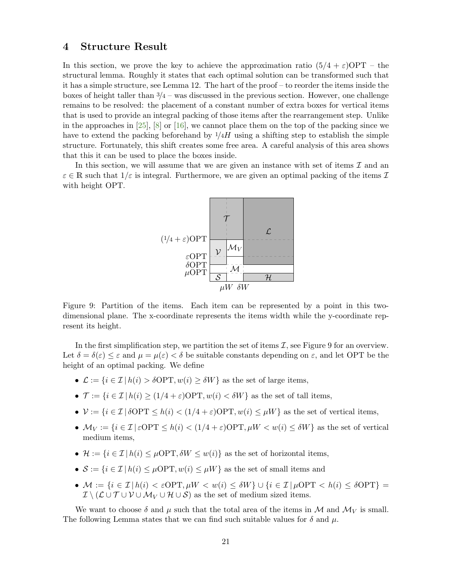### <span id="page-20-1"></span>4 Structure Result

In this section, we prove the key to achieve the approximation ratio  $(5/4 + \varepsilon)$ OPT – the structural lemma. Roughly it states that each optimal solution can be transformed such that it has a simple structure, see Lemma [12.](#page-24-0) The hart of the proof – to reorder the items inside the boxes of height taller than  $\frac{3}{4}$  – was discussed in the previous section. However, one challenge remains to be resolved: the placement of a constant number of extra boxes for vertical items that is used to provide an integral packing of those items after the rearrangement step. Unlike in the approaches in  $[25]$ ,  $[8]$  or  $[16]$ , we cannot place them on the top of the packing since we have to extend the packing beforehand by  $1/4H$  using a shifting step to establish the simple structure. Fortunately, this shift creates some free area. A careful analysis of this area shows that this it can be used to place the boxes inside.

<span id="page-20-0"></span>In this section, we will assume that we are given an instance with set of items  $\mathcal I$  and an  $\varepsilon \in \mathbb{R}$  such that  $1/\varepsilon$  is integral. Furthermore, we are given an optimal packing of the items  $\mathcal{I}$ with height OPT.



Figure 9: Partition of the items. Each item can be represented by a point in this twodimensional plane. The x-coordinate represents the items width while the y-coordinate represent its height.

In the first simplification step, we partition the set of items  $\mathcal{I}$ , see Figure [9](#page-20-0) for an overview. Let  $\delta = \delta(\varepsilon) \leq \varepsilon$  and  $\mu = \mu(\varepsilon) < \delta$  be suitable constants depending on  $\varepsilon$ , and let OPT be the height of an optimal packing. We define

- $\mathcal{L} := \{i \in \mathcal{I} \mid h(i) > \delta \text{OPT}, w(i) \geq \delta W\}$  as the set of large items,
- $\mathcal{T} := \{i \in \mathcal{I} \mid h(i) > (1/4 + \varepsilon) \text{OPT}, w(i) < \delta W\}$  as the set of tall items,
- $V := \{i \in \mathcal{I} \mid \delta \text{OPT} \leq h(i) < (1/4 + \varepsilon) \text{OPT}, w(i) \leq \mu W\}$  as the set of vertical items,
- $M_V := \{i \in \mathcal{I} \mid \varepsilon \text{OPT} \leq h(i) < (1/4 + \varepsilon) \text{OPT}, \mu W < w(i) \leq \delta W\}$  as the set of vertical medium items,
- $\mathcal{H} := \{i \in \mathcal{I} \mid h(i) \leq \mu \text{OPT}, \delta W \leq w(i)\}\$ as the set of horizontal items,
- $S := \{i \in \mathcal{I} \mid h(i) \leq \mu \text{OPT}, w(i) \leq \mu W\}$  as the set of small items and
- $M := \{i \in \mathcal{I} | h(i) < \varepsilon \text{OPT}, \mu W < w(i) \leq \delta W\} \cup \{i \in \mathcal{I} | \mu \text{OPT} < h(i) \leq \delta \text{OPT}\}$  $\mathcal{I} \setminus (\mathcal{L} \cup \mathcal{T} \cup \mathcal{V} \cup \mathcal{M}_V \cup \mathcal{H} \cup \mathcal{S})$  as the set of medium sized items.

We want to choose  $\delta$  and  $\mu$  such that the total area of the items in M and  $\mathcal{M}_V$  is small. The following Lemma states that we can find such suitable values for  $\delta$  and  $\mu$ .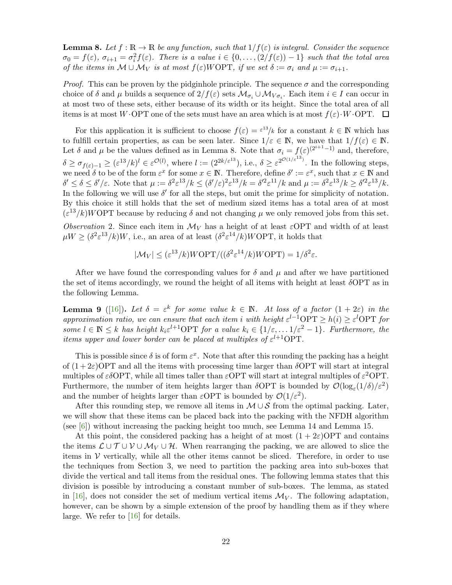<span id="page-21-0"></span>**Lemma 8.** Let  $f : \mathbb{R} \to \mathbb{R}$  be any function, such that  $1/f(\varepsilon)$  is integral. Consider the sequence  $\sigma_0 = f(\varepsilon), \sigma_{i+1} = \sigma_i^2 f(\varepsilon).$  There is a value  $i \in \{0, \ldots, (2/f(\varepsilon)) - 1\}$  such that the total area of the items in  $M \cup \mathcal{M}_V$  is at most  $f(\varepsilon) W\Omega PT$ , if we set  $\delta := \sigma_i$  and  $\mu := \sigma_{i+1}$ .

*Proof.* This can be proven by the pidginhole principle. The sequence  $\sigma$  and the corresponding choice of  $\delta$  and  $\mu$  builds a sequence of  $2/f(\varepsilon)$  sets  $\mathcal{M}_{\sigma_i} \cup \mathcal{M}_{V_{\sigma_i}}$ . Each item  $i \in I$  can occur in at most two of these sets, either because of its width or its height. Since the total area of all items is at most W $\cdot$ OPT one of the sets must have an area which is at most  $f(\varepsilon) \cdot W \cdot \text{OPT}$ .  $\Box$ 

For this application it is sufficient to choose  $f(\varepsilon) = \varepsilon^{13}/k$  for a constant  $k \in \mathbb{N}$  which has to fulfill certain properties, as can be seen later. Since  $1/\varepsilon \in \mathbb{N}$ , we have that  $1/f(\varepsilon) \in \mathbb{N}$ . Let  $\delta$  and  $\mu$  be the values defined as in Lemma [8.](#page-21-0) Note that  $\sigma_i = f(\varepsilon)^{(2^{i+1}-1)}$  and, therefore,  $\delta \geq \sigma_{f(\varepsilon)-1} \geq (\varepsilon^{13}/k)^l \in \varepsilon^{\mathcal{O}(l)}$ , where  $l := (2^{2k/\varepsilon^{13}})$ , i.e.,  $\delta \geq \varepsilon^{2^{\mathcal{O}(1/\varepsilon^{13})}}$ . In the following steps, we need  $\delta$  to be of the form  $\varepsilon^x$  for some  $x \in \mathbb{N}$ . Therefore, define  $\delta' := \varepsilon^x$ , such that  $x \in \mathbb{N}$  and  $\delta' \leq \delta \leq \delta'/\varepsilon$ . Note that  $\mu := \delta^2 \varepsilon^{13}/k \leq (\delta'/\varepsilon)^2 \varepsilon^{13}/k = \delta'^2 \varepsilon^{11}/k$  and  $\mu := \delta^2 \varepsilon^{13}/k \geq \delta'^2 \varepsilon^{13}/k$ . In the following we will use  $\delta'$  for all the steps, but omit the prime for simplicity of notation. By this choice it still holds that the set of medium sized items has a total area of at most  $(\varepsilon^{13}/k) W\text{OPT}$  because by reducing  $\delta$  and not changing  $\mu$  we only removed jobs from this set.

Observation 2. Since each item in  $\mathcal{M}_V$  has a height of at least  $\varepsilon$ OPT and width of at least  $\mu W \ge (\delta^2 \varepsilon^{13}/k)W$ , i.e., an area of at least  $(\delta^2 \varepsilon^{14}/k) W\text{OPT}$ , it holds that

$$
|\mathcal{M}_V| \leq (\varepsilon^{13}/k) W\text{OPT}/((\delta^2 \varepsilon^{14}/k) W\text{OPT}) = 1/\delta^2 \varepsilon.
$$

After we have found the corresponding values for  $\delta$  and  $\mu$  and after we have partitioned the set of items accordingly, we round the height of all items with height at least  $\delta$ OPT as in the following Lemma.

<span id="page-21-1"></span>**Lemma 9** ([\[16\]](#page-41-0)). Let  $\delta = \varepsilon^k$  for some value  $k \in \mathbb{N}$ . At loss of a factor  $(1 + 2\varepsilon)$  in the approximation ratio, we can ensure that each item i with height  $\varepsilon^{l-1}$ OPT  $\geq h(i) \geq \varepsilon^{l}$ OPT for some  $l \in \mathbb{N} \leq k$  has height  $k_i \varepsilon^{l+1}$ OPT for a value  $k_i \in \{1/\varepsilon, \ldots 1/\varepsilon^2 - 1\}$ . Furthermore, the items upper and lower border can be placed at multiples of  $\varepsilon^{l+1}$ OPT.

This is possible since  $\delta$  is of form  $\varepsilon^x$ . Note that after this rounding the packing has a height of  $(1+2\varepsilon)$ OPT and all the items with processing time larger than  $\delta$ OPT will start at integral multiples of  $\varepsilon \delta \text{OPT}$ , while all times taller than  $\varepsilon \text{OPT}$  will start at integral multiples of  $\varepsilon^2 \text{OPT}$ . Furthermore, the number of item heights larger than  $\delta$ OPT is bounded by  $\mathcal{O}(\log_{\varepsilon}(1/\delta)/\varepsilon^2)$ and the number of heights larger than  $\varepsilon$ OPT is bounded by  $\mathcal{O}(1/\varepsilon^2)$ .

After this rounding step, we remove all items in  $\mathcal{M} \cup \mathcal{S}$  from the optimal packing. Later, we will show that these items can be placed back into the packing with the NFDH algorithm (see [\[6\]](#page-40-4)) without increasing the packing height too much, see Lemma [14](#page-32-0) and Lemma [15.](#page-33-0)

At this point, the considered packing has a height of at most  $(1+2\varepsilon)$ OPT and contains the items  $\mathcal{L} \cup \mathcal{T} \cup \mathcal{V} \cup \mathcal{M}_V \cup \mathcal{H}$ . When rearranging the packing, we are allowed to slice the items in  $V$  vertically, while all the other items cannot be sliced. Therefore, in order to use the techniques from Section [3,](#page-10-1) we need to partition the packing area into sub-boxes that divide the vertical and tall items from the residual ones. The following lemma states that this division is possible by introducing a constant number of sub-boxes. The lemma, as stated in [\[16\]](#page-41-0), does not consider the set of medium vertical items  $\mathcal{M}_V$ . The following adaptation, however, can be shown by a simple extension of the proof by handling them as if they where large. We refer to [\[16\]](#page-41-0) for details.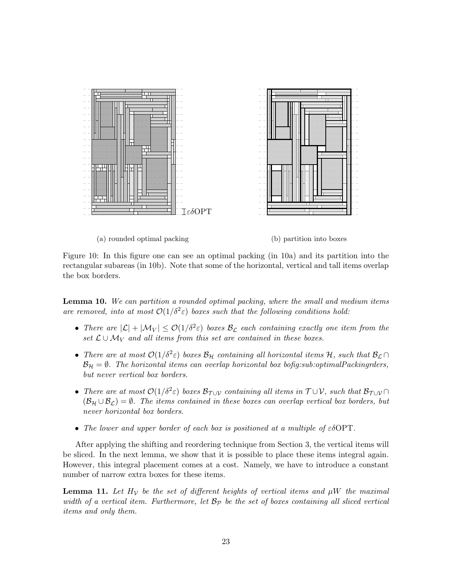<span id="page-22-0"></span>

(a) rounded optimal packing (b) partition into boxes

Figure 10: In this figure one can see an optimal packing (in [10a\)](#page-22-0) and its partition into the rectangular subareas (in [10b\)](#page-22-0). Note that some of the horizontal, vertical and tall items overlap the box borders.

<span id="page-22-1"></span>Lemma 10. We can partition a rounded optimal packing, where the small and medium items are removed, into at most  $\mathcal{O}(1/\delta^2 \varepsilon)$  boxes such that the following conditions hold:

- There are  $|\mathcal{L}| + |\mathcal{M}_V| \leq \mathcal{O}(1/\delta^2 \varepsilon)$  boxes  $\mathcal{B}_\mathcal{L}$  each containing exactly one item from the set  $\mathcal{L} \cup \mathcal{M}_V$  and all items from this set are contained in these boxes.
- There are at most  $\mathcal{O}(1/\delta^2 \varepsilon)$  boxes  $\mathcal{B}_{\mathcal{H}}$  containing all horizontal items  $\mathcal{H}$ , such that  $\mathcal{B}_{\mathcal{L}} \cap$  $\mathcal{B}_H = \emptyset$ . The horizontal items can overlap horizontal box bofig:sub:optimalPackingrders, but never vertical box borders.
- There are at most  $\mathcal{O}(1/\delta^2 \varepsilon)$  boxes  $\mathcal{B}_{\mathcal{T} \cup \mathcal{V}}$  containing all items in  $\mathcal{T} \cup \mathcal{V}$ , such that  $\mathcal{B}_{\mathcal{T} \cup \mathcal{V}} \cap$  $(\mathcal{B}_{\mathcal{H}} \cup \mathcal{B}_{\mathcal{L}}) = \emptyset$ . The items contained in these boxes can overlap vertical box borders, but never horizontal box borders.
- The lower and upper border of each box is positioned at a multiple of  $\varepsilon \delta \text{OPT}$ .

After applying the shifting and reordering technique from Section [3,](#page-10-1) the vertical items will be sliced. In the next lemma, we show that it is possible to place these items integral again. However, this integral placement comes at a cost. Namely, we have to introduce a constant number of narrow extra boxes for these items.

<span id="page-22-2"></span>**Lemma 11.** Let  $H_V$  be the set of different heights of vertical items and  $\mu W$  the maximal width of a vertical item. Furthermore, let  $\mathcal{B}_{\mathcal{P}}$  be the set of boxes containing all sliced vertical items and only them.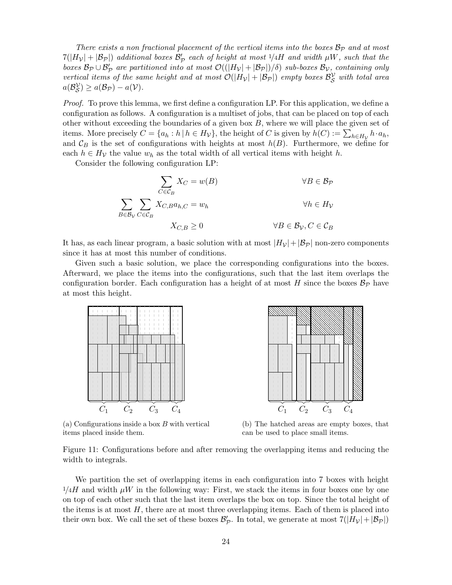There exists a non fractional placement of the vertical items into the boxes  $\mathcal{B}_{\mathcal{P}}$  and at most  $7(|H_{\mathcal{V}}| + |\mathcal{B}_{\mathcal{P}}|)$  additional boxes  $\mathcal{B}_{\mathcal{P}}'$  each of height at most  $1/4H$  and width  $\mu W$ , such that the boxes  $\mathcal{B}_{\mathcal{P}}\cup\mathcal{B}_{\mathcal{P}}'$  are partitioned into at most  $\mathcal{O}((|H_{\mathcal{V}}|+|\mathcal{B}_{\mathcal{P}}|)/\delta)$  sub-boxes  $\mathcal{B}_{\mathcal{V}},$  containing only vertical items of the same height and at most  $\mathcal{O}(|H_{\mathcal{V}}| + |\mathcal{B}_{\mathcal{P}}|)$  empty boxes  $\mathcal{B}_{\mathcal{S}}^{\mathcal{V}}$  with total area  $a(\mathcal{B}_{\mathcal{S}}^{\mathcal{V}}) \geq a(\mathcal{B}_{\mathcal{P}})-a(\mathcal{V}).$ 

Proof. To prove this lemma, we first define a configuration LP. For this application, we define a configuration as follows. A configuration is a multiset of jobs, that can be placed on top of each other without exceeding the boundaries of a given box  $B$ , where we will place the given set of items. More precisely  $C = \{a_h : h \mid h \in H_V\}$ , the height of C is given by  $h(C) := \sum_{h \in H_V} h \cdot a_h$ , and  $\mathcal{C}_B$  is the set of configurations with heights at most  $h(B)$ . Furthermore, we define for each  $h \in H_V$  the value  $w_h$  as the total width of all vertical items with height h.

Consider the following configuration LP:

$$
\sum_{C \in \mathcal{C}_B} X_C = w(B) \qquad \forall B \in \mathcal{B}_P
$$
\n
$$
\sum_{B \in \mathcal{B}_V} \sum_{C \in \mathcal{C}_B} X_{C,B} a_{h,C} = w_h \qquad \forall h \in H_V
$$
\n
$$
X_{C,B} \ge 0 \qquad \forall B \in \mathcal{B}_V, C \in \mathcal{C}_B
$$

It has, as each linear program, a basic solution with at most  $|H_{\mathcal{V}}|+|\mathcal{B}_{\mathcal{P}}|$  non-zero components since it has at most this number of conditions.

Given such a basic solution, we place the corresponding configurations into the boxes. Afterward, we place the items into the configurations, such that the last item overlaps the configuration border. Each configuration has a height of at most H since the boxes  $\mathcal{B}_{\mathcal{P}}$  have at most this height.

<span id="page-23-0"></span>

(a) Configurations inside a box B with vertical items placed inside them.



(b) The hatched areas are empty boxes, that can be used to place small items.

Figure 11: Configurations before and after removing the overlapping items and reducing the width to integrals.

We partition the set of overlapping items in each configuration into 7 boxes with height  $1/4H$  and width  $\mu W$  in the following way: First, we stack the items in four boxes one by one on top of each other such that the last item overlaps the box on top. Since the total height of the items is at most  $H$ , there are at most three overlapping items. Each of them is placed into their own box. We call the set of these boxes  $\mathcal{B}'_{\mathcal{P}}$ . In total, we generate at most  $7(|H_{\mathcal{V}}|+|\mathcal{B}_{\mathcal{P}}|)$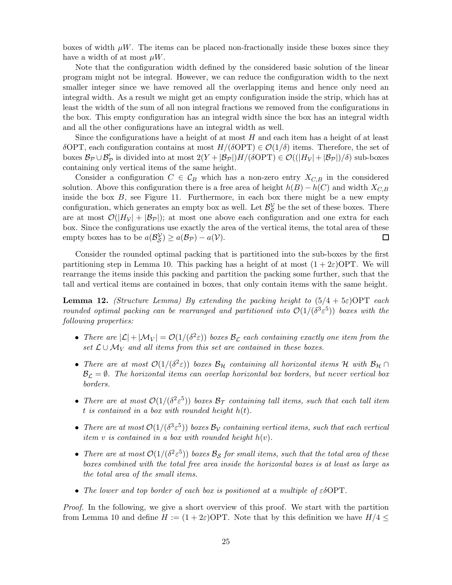boxes of width  $\mu W$ . The items can be placed non-fractionally inside these boxes since they have a width of at most  $\mu W$ .

Note that the configuration width defined by the considered basic solution of the linear program might not be integral. However, we can reduce the configuration width to the next smaller integer since we have removed all the overlapping items and hence only need an integral width. As a result we might get an empty configuration inside the strip, which has at least the width of the sum of all non integral fractions we removed from the configurations in the box. This empty configuration has an integral width since the box has an integral width and all the other configurations have an integral width as well.

Since the configurations have a height of at most  $H$  and each item has a height of at least δOPT, each configuration contains at most  $H/(\delta$ OPT)  $\in \mathcal{O}(1/\delta)$  items. Therefore, the set of boxes  $B_P \cup B'_P$  is divided into at most  $2(Y + |B_P|)H/(\delta OPT) \in \mathcal{O}((|H_V| + |B_P|)/\delta)$  sub-boxes containing only vertical items of the same height.

Consider a configuration  $C \in \mathcal{C}_B$  which has a non-zero entry  $X_{C,B}$  in the considered solution. Above this configuration there is a free area of height  $h(B) - h(C)$  and width  $X_{C,B}$ inside the box  $B$ , see Figure [11.](#page-23-0) Furthermore, in each box there might be a new empty configuration, which generates an empty box as well. Let  $\mathcal{B}_{\mathcal{S}}^{\mathcal{V}}$  be the set of these boxes. There are at most  $\mathcal{O}(|H_{\mathcal{V}}| + |\mathcal{B}_{\mathcal{P}}|)$ ; at most one above each configuration and one extra for each box. Since the configurations use exactly the area of the vertical items, the total area of these empty boxes has to be  $a(\mathcal{B}_{\mathcal{S}}^{\mathcal{V}}) \ge a(\mathcal{B}_{\mathcal{P}}) - a(\mathcal{V})$ . 囗

Consider the rounded optimal packing that is partitioned into the sub-boxes by the first partitioning step in Lemma [10.](#page-22-1) This packing has a height of at most  $(1 + 2\varepsilon)$ OPT. We will rearrange the items inside this packing and partition the packing some further, such that the tall and vertical items are contained in boxes, that only contain items with the same height.

<span id="page-24-0"></span>**Lemma 12.** (Structure Lemma) By extending the packing height to  $(5/4 + 5\varepsilon)$ OPT each rounded optimal packing can be rearranged and partitioned into  $\mathcal{O}(1/(\delta^3 \varepsilon^5))$  boxes with the following properties:

- There are  $|\mathcal{L}| + |\mathcal{M}_V| = \mathcal{O}(1/(\delta^2 \varepsilon))$  boxes  $\mathcal{B}_\mathcal{L}$  each containing exactly one item from the set  $\mathcal{L} \cup \mathcal{M}_V$  and all items from this set are contained in these boxes.
- There are at most  $\mathcal{O}(1/(\delta^2 \varepsilon))$  boxes  $\mathcal{B}_{\mathcal{H}}$  containing all horizontal items  $\mathcal H$  with  $\mathcal{B}_{\mathcal{H}}$   $\cap$  $B_{\mathcal{L}} = \emptyset$ . The horizontal items can overlap horizontal box borders, but never vertical box borders.
- There are at most  $\mathcal{O}(1/(\delta^2 \varepsilon^5))$  boxes  $\mathcal{B}_{\mathcal{T}}$  containing tall items, such that each tall item t is contained in a box with rounded height  $h(t)$ .
- There are at most  $\mathcal{O}(1/(\delta^3 \varepsilon^5))$  boxes  $\mathcal{B}_\mathcal{V}$  containing vertical items, such that each vertical item  $v$  is contained in a box with rounded height  $h(v)$ .
- There are at most  $\mathcal{O}(1/(\delta^2 \varepsilon^5))$  boxes  $\mathcal{B}_{\mathcal{S}}$  for small items, such that the total area of these boxes combined with the total free area inside the horizontal boxes is at least as large as the total area of the small items.
- The lower and top border of each box is positioned at a multiple of  $\varepsilon \delta \text{OPT}$ .

Proof. In the following, we give a short overview of this proof. We start with the partition from Lemma [10](#page-22-1) and define  $H := (1 + 2\varepsilon)$ OPT. Note that by this definition we have  $H/4 \leq$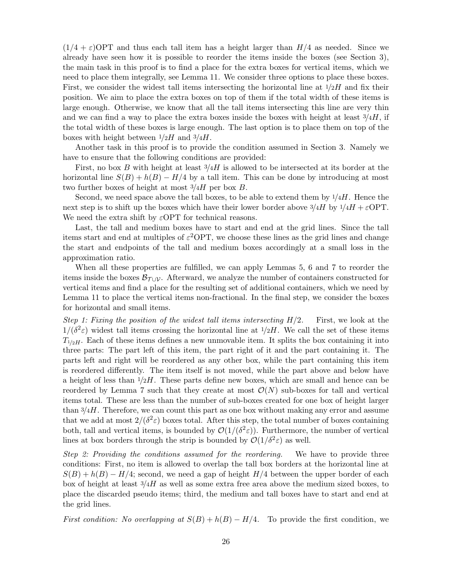$(1/4 + \varepsilon)$ OPT and thus each tall item has a height larger than  $H/4$  as needed. Since we already have seen how it is possible to reorder the items inside the boxes (see Section [3\)](#page-10-1), the main task in this proof is to find a place for the extra boxes for vertical items, which we need to place them integrally, see Lemma [11.](#page-22-2) We consider three options to place these boxes. First, we consider the widest tall items intersecting the horizontal line at  $1/2H$  and fix their position. We aim to place the extra boxes on top of them if the total width of these items is large enough. Otherwise, we know that all the tall items intersecting this line are very thin and we can find a way to place the extra boxes inside the boxes with height at least  $\frac{3}{4}$ , if the total width of these boxes is large enough. The last option is to place them on top of the boxes with height between  $1/2H$  and  $3/4H$ .

Another task in this proof is to provide the condition assumed in Section [3.](#page-10-1) Namely we have to ensure that the following conditions are provided:

First, no box B with height at least  $3/4H$  is allowed to be intersected at its border at the horizontal line  $S(B) + h(B) - H/4$  by a tall item. This can be done by introducing at most two further boxes of height at most  $3/4H$  per box B.

Second, we need space above the tall boxes, to be able to extend them by  $\frac{1}{4}H$ . Hence the next step is to shift up the boxes which have their lower border above  $\frac{3}{4}H$  by  $\frac{1}{4}H + \varepsilon$ OPT. We need the extra shift by  $\varepsilon$ OPT for technical reasons.

Last, the tall and medium boxes have to start and end at the grid lines. Since the tall items start and end at multiples of  $\varepsilon^2$ OPT, we choose these lines as the grid lines and change the start and endpoints of the tall and medium boxes accordingly at a small loss in the approximation ratio.

When all these properties are fulfilled, we can apply Lemmas [5,](#page-10-2) [6](#page-19-0) and [7](#page-19-1) to reorder the items inside the boxes  $\mathcal{B}_{\mathcal{T}\cup\mathcal{V}}$ . Afterward, we analyze the number of containers constructed for vertical items and find a place for the resulting set of additional containers, which we need by Lemma [11](#page-22-2) to place the vertical items non-fractional. In the final step, we consider the boxes for horizontal and small items.

Step 1: Fixing the position of the widest tall items intersecting  $H/2$ . First, we look at the  $1/(\delta^2 \varepsilon)$  widest tall items crossing the horizontal line at  $1/2H$ . We call the set of these items  $T_{1/2H}$ . Each of these items defines a new unmovable item. It splits the box containing it into three parts: The part left of this item, the part right of it and the part containing it. The parts left and right will be reordered as any other box, while the part containing this item is reordered differently. The item itself is not moved, while the part above and below have a height of less than  $1/2H$ . These parts define new boxes, which are small and hence can be reordered by Lemma [7](#page-19-1) such that they create at most  $\mathcal{O}(N)$  sub-boxes for tall and vertical items total. These are less than the number of sub-boxes created for one box of height larger than  $\frac{3}{4}H$ . Therefore, we can count this part as one box without making any error and assume that we add at most  $2/(\delta^2 \varepsilon)$  boxes total. After this step, the total number of boxes containing both, tall and vertical items, is bounded by  $\mathcal{O}(1/(\delta^2 \varepsilon))$ . Furthermore, the number of vertical lines at box borders through the strip is bounded by  $\mathcal{O}(1/\delta^2 \varepsilon)$  as well.

Step 2: Providing the conditions assumed for the reordering. We have to provide three conditions: First, no item is allowed to overlap the tall box borders at the horizontal line at  $S(B) + h(B) - H/4$ ; second, we need a gap of height  $H/4$  between the upper border of each box of height at least  $\frac{3}{4}$  as well as some extra free area above the medium sized boxes, to place the discarded pseudo items; third, the medium and tall boxes have to start and end at the grid lines.

First condition: No overlapping at  $S(B) + h(B) - H/4$ . To provide the first condition, we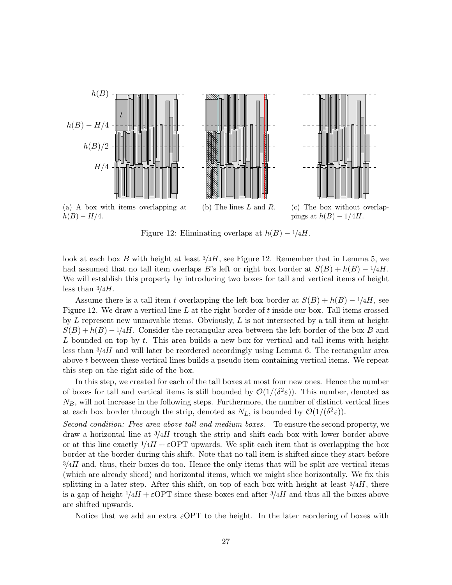<span id="page-26-0"></span>

Figure 12: Eliminating overlaps at  $h(B) - \frac{1}{4}H$ .

look at each box B with height at least  $\frac{3}{4}$ , see Figure [12.](#page-26-0) Remember that in Lemma [5,](#page-10-2) we had assumed that no tall item overlaps B's left or right box border at  $S(B) + h(B) - 1/4H$ . We will establish this property by introducing two boxes for tall and vertical items of height less than  $\frac{3}{4}$ .

Assume there is a tall item t overlapping the left box border at  $S(B) + h(B) - 1/4H$ , see Figure [12.](#page-26-0) We draw a vertical line  $L$  at the right border of  $t$  inside our box. Tall items crossed by  $L$  represent new unmovable items. Obviously,  $L$  is not intersected by a tall item at height  $S(B) + h(B) - 1/4H$ . Consider the rectangular area between the left border of the box B and  $L$  bounded on top by  $t$ . This area builds a new box for vertical and tall items with height less than  $\frac{3}{4}H$  and will later be reordered accordingly using Lemma [6.](#page-19-0) The rectangular area above t between these vertical lines builds a pseudo item containing vertical items. We repeat this step on the right side of the box.

In this step, we created for each of the tall boxes at most four new ones. Hence the number of boxes for tall and vertical items is still bounded by  $\mathcal{O}(1/(\delta^2 \varepsilon))$ . This number, denoted as  $N_B$ , will not increase in the following steps. Furthermore, the number of distinct vertical lines at each box border through the strip, denoted as  $N_L$ , is bounded by  $\mathcal{O}(1/(\delta^2 \varepsilon))$ .

Second condition: Free area above tall and medium boxes. To ensure the second property, we draw a horizontal line at  $\frac{3}{4}$  trough the strip and shift each box with lower border above or at this line exactly  $1/4H + \varepsilon$ OPT upwards. We split each item that is overlapping the box border at the border during this shift. Note that no tall item is shifted since they start before  $3/4H$  and, thus, their boxes do too. Hence the only items that will be split are vertical items (which are already sliced) and horizontal items, which we might slice horizontally. We fix this splitting in a later step. After this shift, on top of each box with height at least  $3/4H$ , there is a gap of height  $1/4H + \epsilon$  OPT since these boxes end after  $3/4H$  and thus all the boxes above are shifted upwards.

Notice that we add an extra  $\varepsilon$ OPT to the height. In the later reordering of boxes with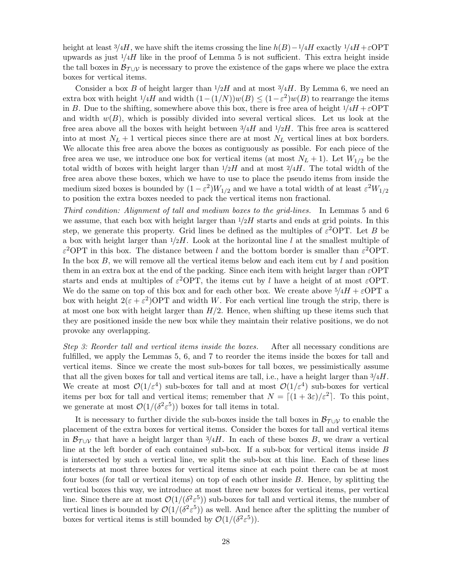height at least 3/4H, we have shift the items crossing the line  $h(B)-1/4H$  exactly  $1/4H+\epsilon$ OPT upwards as just  $1/4H$  like in the proof of Lemma [5](#page-10-2) is not sufficient. This extra height inside the tall boxes in  $\mathcal{B}_{\mathcal{T} \cup \mathcal{V}}$  is necessary to prove the existence of the gaps where we place the extra boxes for vertical items.

Consider a box B of height larger than  $1/2H$  and at most  $3/4H$ . By Lemma [6,](#page-19-0) we need an extra box with height  $1/4H$  and width  $(1-(1/N))w(B) \leq (1-\varepsilon^2)w(B)$  to rearrange the items in B. Due to the shifting, somewhere above this box, there is free area of height  $1/4H + \varepsilon$ OPT and width  $w(B)$ , which is possibly divided into several vertical slices. Let us look at the free area above all the boxes with height between  $\frac{3}{4}H$  and  $\frac{1}{2}H$ . This free area is scattered into at most  $N_L + 1$  vertical pieces since there are at most  $N_L$  vertical lines at box borders. We allocate this free area above the boxes as contiguously as possible. For each piece of the free area we use, we introduce one box for vertical items (at most  $N_L + 1$ ). Let  $W_{1/2}$  be the total width of boxes with height larger than  $1/2H$  and at most  $2/4H$ . The total width of the free area above these boxes, which we have to use to place the pseudo items from inside the medium sized boxes is bounded by  $(1 - \varepsilon^2)W_{1/2}$  and we have a total width of at least  $\varepsilon^2 W_{1/2}$ to position the extra boxes needed to pack the vertical items non fractional.

Third condition: Alignment of tall and medium boxes to the grid-lines. In Lemmas [5](#page-10-2) and [6](#page-19-0) we assume, that each box with height larger than  $1/2H$  starts and ends at grid points. In this step, we generate this property. Grid lines be defined as the multiples of  $\varepsilon^2$ OPT. Let B be a box with height larger than  $1/2H$ . Look at the horizontal line l at the smallest multiple of  $\varepsilon^2$ OPT in this box. The distance between l and the bottom border is smaller than  $\varepsilon^2$ OPT. In the box  $B$ , we will remove all the vertical items below and each item cut by  $l$  and position them in an extra box at the end of the packing. Since each item with height larger than  $\varepsilon$ OPT starts and ends at multiples of  $\varepsilon^2$ OPT, the items cut by l have a height of at most  $\varepsilon$ OPT. We do the same on top of this box and for each other box. We create above  $\frac{5}{4}H + \varepsilon$ OPT a box with height  $2(\epsilon + \epsilon^2)$ OPT and width W. For each vertical line trough the strip, there is at most one box with height larger than  $H/2$ . Hence, when shifting up these items such that they are positioned inside the new box while they maintain their relative positions, we do not provoke any overlapping.

Step 3: Reorder tall and vertical items inside the boxes. After all necessary conditions are fulfilled, we apply the Lemmas [5,](#page-10-2) [6,](#page-19-0) and [7](#page-19-1) to reorder the items inside the boxes for tall and vertical items. Since we create the most sub-boxes for tall boxes, we pessimistically assume that all the given boxes for tall and vertical items are tall, i.e., have a height larger than  $\frac{3}{4}H$ . We create at most  $\mathcal{O}(1/\varepsilon^4)$  sub-boxes for tall and at most  $\mathcal{O}(1/\varepsilon^4)$  sub-boxes for vertical items per box for tall and vertical items; remember that  $N = \left[ (1 + 3\varepsilon)/\varepsilon^2 \right]$ . To this point, we generate at most  $\mathcal{O}(1/(\delta^2 \varepsilon^5))$  boxes for tall items in total.

It is necessary to further divide the sub-boxes inside the tall boxes in  $\mathcal{B}_{\mathcal{T} \cup \mathcal{V}}$  to enable the placement of the extra boxes for vertical items. Consider the boxes for tall and vertical items in  $\mathcal{B}_{\mathcal{T} \cup \mathcal{V}}$  that have a height larger than 3/4H. In each of these boxes B, we draw a vertical line at the left border of each contained sub-box. If a sub-box for vertical items inside B is intersected by such a vertical line, we split the sub-box at this line. Each of these lines intersects at most three boxes for vertical items since at each point there can be at most four boxes (for tall or vertical items) on top of each other inside B. Hence, by splitting the vertical boxes this way, we introduce at most three new boxes for vertical items, per vertical line. Since there are at most  $\mathcal{O}(1/(\delta^2 \varepsilon^5))$  sub-boxes for tall and vertical items, the number of vertical lines is bounded by  $\mathcal{O}(1/(\delta^2 \varepsilon^5))$  as well. And hence after the splitting the number of boxes for vertical items is still bounded by  $\mathcal{O}(1/(\delta^2 \varepsilon^5))$ .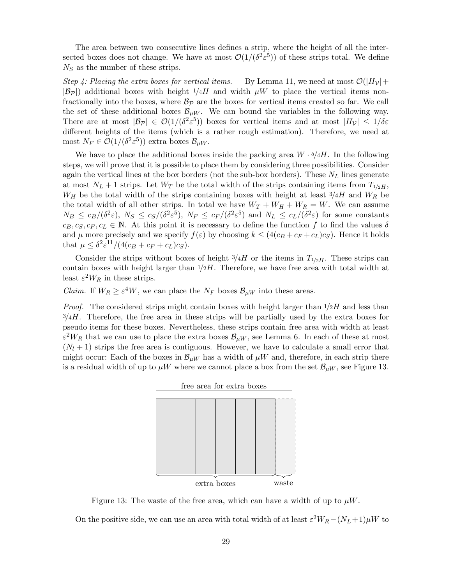The area between two consecutive lines defines a strip, where the height of all the intersected boxes does not change. We have at most  $\mathcal{O}(1/(\delta^2 \varepsilon^5))$  of these strips total. We define  $N<sub>S</sub>$  as the number of these strips.

Step 4: Placing the extra boxes for vertical items. By Lemma [11,](#page-22-2) we need at most  $\mathcal{O}(|H_{\mathcal{V}}| +$  $|\mathcal{B}_P|$ ) additional boxes with height  $1/4H$  and width  $\mu W$  to place the vertical items nonfractionally into the boxes, where  $B_{\mathcal{P}}$  are the boxes for vertical items created so far. We call the set of these additional boxes  $\mathcal{B}_{\mu W}$ . We can bound the variables in the following way. There are at most  $|\mathcal{B}_{\mathcal{P}}| \in \mathcal{O}(1/(\delta^2 \varepsilon^5))$  boxes for vertical items and at most  $|H_{\mathcal{V}}| \leq 1/\delta \varepsilon$ different heights of the items (which is a rather rough estimation). Therefore, we need at most  $N_F \in \mathcal{O}(1/(\delta^2 \varepsilon^5))$  extra boxes  $\mathcal{B}_{\mu W}$ .

We have to place the additional boxes inside the packing area  $W \cdot \frac{5}{4}H$ . In the following steps, we will prove that it is possible to place them by considering three possibilities. Consider again the vertical lines at the box borders (not the sub-box borders). These  $N_L$  lines generate at most  $N_L + 1$  strips. Let  $W_T$  be the total width of the strips containing items from  $T_{1/2H}$ ,  $W_H$  be the total width of the strips containing boxes with height at least  $3/4H$  and  $W_R$  be the total width of all other strips. In total we have  $W_T + W_H + W_R = W$ . We can assume  $N_B \leq c_B/(\delta^2 \varepsilon)$ ,  $N_S \leq c_S/(\delta^2 \varepsilon^5)$ ,  $N_F \leq c_F/(\delta^2 \varepsilon^5)$  and  $N_L \leq c_L/(\delta^2 \varepsilon)$  for some constants  $c_B, c_S, c_F, c_L \in \mathbb{N}$ . At this point it is necessary to define the function f to find the values  $\delta$ and  $\mu$  more precisely and we specify  $f(\varepsilon)$  by choosing  $k \leq (4(c_B + c_F + c_L)c_S)$ . Hence it holds that  $\mu \leq \delta^2 \varepsilon^{11}/(4(c_B + c_F + c_L)c_S)$ .

Consider the strips without boxes of height  $3/4H$  or the items in  $T_{1/2H}$ . These strips can contain boxes with height larger than  $1/2H$ . Therefore, we have free area with total width at least  $\varepsilon^2 W_R$  in these strips.

*Claim.* If  $W_R \geq \varepsilon^4 W$ , we can place the  $N_F$  boxes  $\mathcal{B}_{\mu W}$  into these areas.

<span id="page-28-0"></span>*Proof.* The considered strips might contain boxes with height larger than  $1/2H$  and less than  $3/4H$ . Therefore, the free area in these strips will be partially used by the extra boxes for pseudo items for these boxes. Nevertheless, these strips contain free area with width at least  $\varepsilon^2 W_R$  that we can use to place the extra boxes  $\mathcal{B}_{\mu W}$ , see Lemma [6.](#page-19-0) In each of these at most  $(N_l + 1)$  strips the free area is contiguous. However, we have to calculate a small error that might occur: Each of the boxes in  $\mathcal{B}_{\mu W}$  has a width of  $\mu W$  and, therefore, in each strip there is a residual width of up to  $\mu W$  where we cannot place a box from the set  $\mathcal{B}_{\mu W}$ , see Figure [13.](#page-28-0)



Figure 13: The waste of the free area, which can have a width of up to  $\mu W$ .

On the positive side, we can use an area with total width of at least  $\varepsilon^2 W_R - (N_L+1)\mu W$  to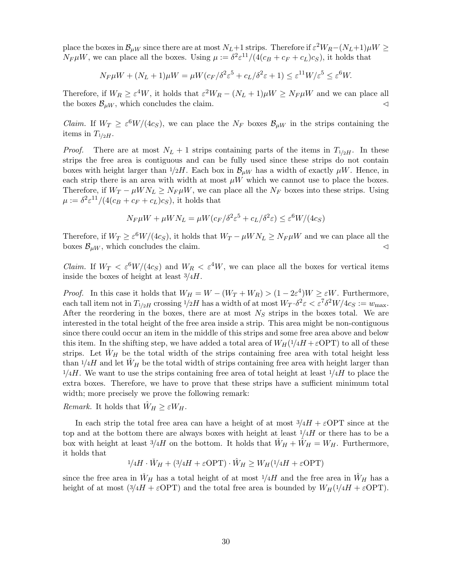place the boxes in  $\mathcal{B}_{\mu W}$  since there are at most  $N_L+1$  strips. Therefore if  $\varepsilon^2 W_R-(N_L+1)\mu W\geq 0$  $N_F \mu W$ , we can place all the boxes. Using  $\mu := \delta^2 \varepsilon^{11}/(4(c_B + c_F + c_L)c_S)$ , it holds that

$$
N_F \mu W + (N_L + 1)\mu W = \mu W (c_F/\delta^2 \varepsilon^5 + c_L/\delta^2 \varepsilon + 1) \le \varepsilon^{11} W/\varepsilon^5 \le \varepsilon^6 W.
$$

Therefore, if  $W_R \geq \varepsilon^4 W$ , it holds that  $\varepsilon^2 W_R - (N_L + 1)\mu W \geq N_F \mu W$  and we can place all the boxes  $\mathcal{B}_{\mu W}$ , which concludes the claim.  $\lhd$ 

*Claim.* If  $W_T \geq \varepsilon^6 W/(4c_S)$ , we can place the  $N_F$  boxes  $\mathcal{B}_{\mu W}$  in the strips containing the items in  $T_{1/2H}$ .

*Proof.* There are at most  $N_L + 1$  strips containing parts of the items in  $T_{1/2H}$ . In these strips the free area is contiguous and can be fully used since these strips do not contain boxes with height larger than  $1/2H$ . Each box in  $\mathcal{B}_{\mu W}$  has a width of exactly  $\mu W$ . Hence, in each strip there is an area with width at most  $\mu W$  which we cannot use to place the boxes. Therefore, if  $W_T - \mu W N_L \geq N_F \mu W$ , we can place all the  $N_F$  boxes into these strips. Using  $\mu := \frac{\delta^2 \varepsilon^{11}}{(4(c_B + c_F + c_L)c_S)}$ , it holds that

$$
N_F \mu W + \mu W N_L = \mu W (c_F / \delta^2 \varepsilon^5 + c_L / \delta^2 \varepsilon) \le \varepsilon^6 W / (4c_S)
$$

Therefore, if  $W_T \ge \varepsilon^6 W/(4c_S)$ , it holds that  $W_T - \mu W N_L \ge N_F \mu W$  and we can place all the boxes  $\mathcal{B}_{\mu W}$ , which concludes the claim.  $\lhd$ 

*Claim.* If  $W_T < \varepsilon^6 W/(4c_S)$  and  $W_R < \varepsilon^4 W$ , we can place all the boxes for vertical items inside the boxes of height at least  $\frac{3}{4}H$ .

*Proof.* In this case it holds that  $W_H = W - (W_T + W_R) > (1 - 2\varepsilon^4)W \geq \varepsilon W$ . Furthermore, each tall item not in  $T_{1/2H}$  crossing  $1/2H$  has a width of at most  $W_T \cdot \delta^2 \varepsilon < \varepsilon^7 \delta^2 W/4c_S := w_{\text{max}}$ . After the reordering in the boxes, there are at most  $N<sub>S</sub>$  strips in the boxes total. We are interested in the total height of the free area inside a strip. This area might be non-contiguous since there could occur an item in the middle of this strips and some free area above and below this item. In the shifting step, we have added a total area of  $W_H(1/4H + \varepsilon \text{OPT})$  to all of these strips. Let  $\dot{W}_H$  be the total width of the strips containing free area with total height less than  $1/4H$  and let  $W_H$  be the total width of strips containing free area with height larger than  $1/4H$ . We want to use the strips containing free area of total height at least  $1/4H$  to place the extra boxes. Therefore, we have to prove that these strips have a sufficient minimum total width; more precisely we prove the following remark:

*Remark.* It holds that  $\hat{W}_H \geq \varepsilon W_H$ .

In each strip the total free area can have a height of at most  $\frac{3}{4}H + \varepsilon$ OPT since at the top and at the bottom there are always boxes with height at least  $1/4H$  or there has to be a box with height at least  $3/4H$  on the bottom. It holds that  $\dot{W}_H + \ddot{W}_H = W_H$ . Furthermore, it holds that

$$
1/4H \cdot \check{W}_H + (3/4H + \varepsilon \text{OPT}) \cdot \hat{W}_H \ge W_H(1/4H + \varepsilon \text{OPT})
$$

since the free area in  $W_H$  has a total height of at most  $1/4H$  and the free area in  $W_H$  has a height of at most  $(3/4H + \varepsilon OPT)$  and the total free area is bounded by  $W_H(1/4H + \varepsilon OPT)$ .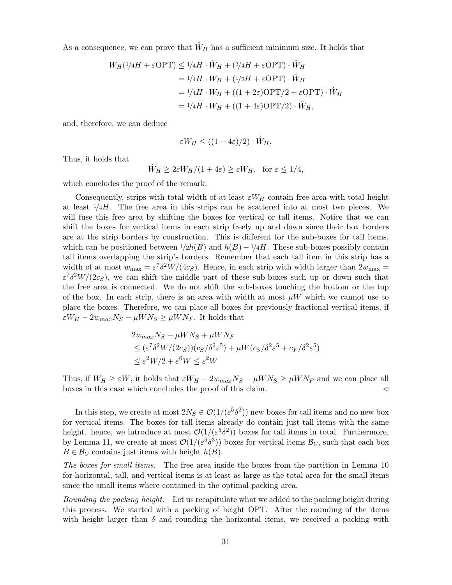As a consequence, we can prove that  $W_H$  has a sufficient minimum size. It holds that

$$
W_H(\frac{1}{4}H + \varepsilon \text{OPT}) \le \frac{1}{4}H \cdot \check{W}_H + (\frac{3}{4}H + \varepsilon \text{OPT}) \cdot \hat{W}_H
$$
  
=\frac{1}{4}H \cdot W\_H + (\frac{1}{2}H + \varepsilon \text{OPT}) \cdot \hat{W}\_H  
=\frac{1}{4}H \cdot W\_H + ((1 + 2\varepsilon)\text{OPT}/2 + \varepsilon \text{OPT}) \cdot \hat{W}\_H  
=\frac{1}{4}H \cdot W\_H + ((1 + 4\varepsilon)\text{OPT}/2) \cdot \hat{W}\_H,

and, therefore, we can deduce

$$
\varepsilon W_H \leq ((1+4\varepsilon)/2) \cdot \hat{W}_H.
$$

Thus, it holds that

$$
\hat{W}_H \ge 2\varepsilon W_H/(1+4\varepsilon) \ge \varepsilon W_H, \text{ for } \varepsilon \le 1/4,
$$

which concludes the proof of the remark.

Consequently, strips with total width of at least  $\varepsilon W_H$  contain free area with total height at least  $1/4H$ . The free area in this strips can be scattered into at most two pieces. We will fuse this free area by shifting the boxes for vertical or tall items. Notice that we can shift the boxes for vertical items in each strip freely up and down since their box borders are at the strip borders by construction. This is different for the sub-boxes for tall items, which can be positioned between  $1/2h(B)$  and  $h(B) - 1/4H$ . These sub-boxes possibly contain tall items overlapping the strip's borders. Remember that each tall item in this strip has a width of at most  $w_{\text{max}} = \varepsilon^7 \delta^2 W/(4c_S)$ . Hence, in each strip with width larger than  $2w_{\text{max}} =$  $\varepsilon^7 \delta^2 W/(2c_S)$ , we can shift the middle part of these sub-boxes such up or down such that the free area is connected. We do not shift the sub-boxes touching the bottom or the top of the box. In each strip, there is an area with width at most  $\mu W$  which we cannot use to place the boxes. Therefore, we can place all boxes for previously fractional vertical items, if  $\varepsilon W_H - 2w_{max}N_S - \mu W N_S \ge \mu W N_F$ . It holds that

$$
2w_{max}N_S + \mu W N_S + \mu W N_F
$$
  
\n
$$
\leq (\varepsilon^7 \delta^2 W / (2c_S)) (c_S/\delta^2 \varepsilon^5) + \mu W (c_S/\delta^2 \varepsilon^5 + c_F/\delta^2 \varepsilon^5)
$$
  
\n
$$
\leq \varepsilon^2 W / 2 + \varepsilon^6 W \leq \varepsilon^2 W
$$

Thus, if  $W_H \geq \varepsilon W$ , it holds that  $\varepsilon W_H - 2w_{max}N_S - \mu W N_S \geq \mu W N_F$  and we can place all boxes in this case which concludes the proof of this claim.  $\triangleleft$ 

In this step, we create at most  $2N_S \in \mathcal{O}(1/(\varepsilon^5 \delta^2))$  new boxes for tall items and no new box for vertical items. The boxes for tall items already do contain just tall items with the same height. hence, we introduce at most  $\mathcal{O}(1/(\varepsilon^5 \delta^2))$  boxes for tall items in total. Furthermore, by Lemma [11,](#page-22-2) we create at most  $\mathcal{O}(1/(\varepsilon^5\delta^3))$  boxes for vertical items  $\mathcal{B}_{\mathcal{V}}$ , such that each box  $B \in \mathcal{B}_{\mathcal{V}}$  contains just items with height  $h(B)$ .

The boxes for small items. The free area inside the boxes from the partition in Lemma [10](#page-22-1) for horizontal, tall, and vertical items is at least as large as the total area for the small items since the small items where contained in the optimal packing area.

Bounding the packing height. Let us recapitulate what we added to the packing height during this process. We started with a packing of height OPT. After the rounding of the items with height larger than  $\delta$  and rounding the horizontal items, we received a packing with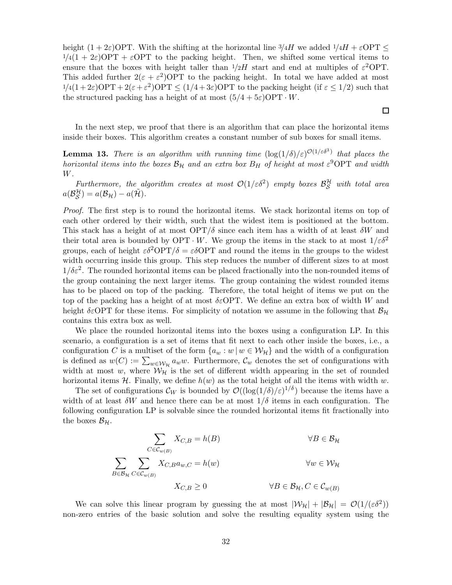height  $(1+2\varepsilon)$ OPT. With the shifting at the horizontal line  $\frac{3}{4}H$  we added  $\frac{1}{4}H + \varepsilon$ OPT  $\leq$  $1/4(1 + 2\varepsilon)$ OPT +  $\varepsilon$ OPT to the packing height. Then, we shifted some vertical items to ensure that the boxes with height taller than  $1/2H$  start and end at multiples of  $\varepsilon^2$ OPT. This added further  $2(\epsilon + \epsilon^2)$ OPT to the packing height. In total we have added at most  $1/4(1+2\varepsilon)$ OPT +  $2(\varepsilon+\varepsilon^2)$ OPT  $\leq (1/4+3\varepsilon)$ OPT to the packing height (if  $\varepsilon \leq 1/2$ ) such that the structured packing has a height of at most  $(5/4 + 5\varepsilon)$ OPT · W.

In the next step, we proof that there is an algorithm that can place the horizontal items inside their boxes. This algorithm creates a constant number of sub boxes for small items.

<span id="page-31-0"></span>**Lemma 13.** There is an algorithm with running time  $(\log(1/\delta)/\varepsilon)^{\mathcal{O}(1/\varepsilon\delta^3)}$  that places the horizontal items into the boxes  $\mathcal{B}_{H}$  and an extra box  $B_{H}$  of height at most  $\varepsilon^{9}$ OPT and width W.

Furthermore, the algorithm creates at most  $\mathcal{O}(1/\varepsilon\delta^2)$  empty boxes  $\mathcal{B}_{\mathcal{S}}^{\mathcal{H}}$  with total area  $a(\mathcal{B}_{\mathcal{S}}^{\mathcal{H}})=a(\mathcal{B}_{\mathcal{H}})-a(\tilde{\mathcal{H}}).$ 

Proof. The first step is to round the horizontal items. We stack horizontal items on top of each other ordered by their width, such that the widest item is positioned at the bottom. This stack has a height of at most  $\text{OPT}/\delta$  since each item has a width of at least  $\delta W$  and their total area is bounded by OPT  $\cdot$  W. We group the items in the stack to at most  $1/\varepsilon \delta^2$ groups, each of height  $\varepsilon \delta^2 \text{OPT}/\delta = \varepsilon \delta \text{OPT}$  and round the items in the groups to the widest width occurring inside this group. This step reduces the number of different sizes to at most  $1/\delta\varepsilon^2$ . The rounded horizontal items can be placed fractionally into the non-rounded items of the group containing the next larger items. The group containing the widest rounded items has to be placed on top of the packing. Therefore, the total height of items we put on the top of the packing has a height of at most  $\delta \epsilon$ OPT. We define an extra box of width W and height  $\delta \epsilon$ OPT for these items. For simplicity of notation we assume in the following that  $\mathcal{B}_{\mathcal{H}}$ contains this extra box as well.

We place the rounded horizontal items into the boxes using a configuration LP. In this scenario, a configuration is a set of items that fit next to each other inside the boxes, i.e., a configuration C is a multiset of the form  $\{a_w : w \mid w \in W_H\}$  and the width of a configuration is defined as  $w(C) := \sum_{w \in \mathcal{W}_H} a_w w$ . Furthermore,  $\mathcal{C}_w$  denotes the set of configurations with width at most w, where  $W_H$  is the set of different width appearing in the set of rounded horizontal items H. Finally, we define  $h(w)$  as the total height of all the items with width w.

The set of configurations  $\mathcal{C}_W$  is bounded by  $\mathcal{O}((\log(1/\delta)/\varepsilon)^{1/\delta})$  because the items have a width of at least  $\delta W$  and hence there can be at most  $1/\delta$  items in each configuration. The following configuration LP is solvable since the rounded horizontal items fit fractionally into the boxes  $\mathcal{B}_{\mathcal{H}}$ .

$$
\sum_{C \in \mathcal{C}_{w(B)}} X_{C,B} = h(B) \qquad \forall B \in \mathcal{B}_{\mathcal{H}}
$$
  

$$
\sum_{B \in \mathcal{B}_{\mathcal{H}}} \sum_{C \in \mathcal{C}_{w(B)}} X_{C,B} a_{w,C} = h(w) \qquad \forall w \in \mathcal{W}_{\mathcal{H}}
$$
  

$$
X_{C,B} \ge 0 \qquad \forall B \in \mathcal{B}_{\mathcal{H}}, C \in \mathcal{C}_{w(B)}
$$

We can solve this linear program by guessing the at most  $|\mathcal{W}_H| + |\mathcal{B}_H| = \mathcal{O}(1/(\varepsilon \delta^2))$ non-zero entries of the basic solution and solve the resulting equality system using the

口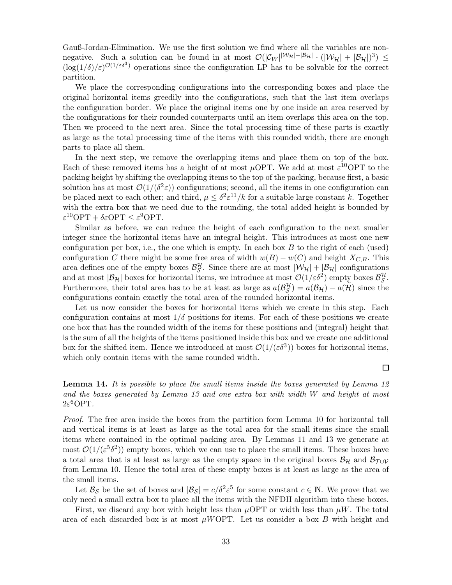Gauß-Jordan-Elimination. We use the first solution we find where all the variables are nonnegative. Such a solution can be found in at most  $\mathcal{O}(|\mathcal{C}_W|^{\mathcal{W}_\mathcal{H}|+|\mathcal{B}_\mathcal{H}|} \cdot (|\mathcal{W}_\mathcal{H}|+|\mathcal{B}_\mathcal{H}|)^3) \leq$  $(\log(1/\delta)/\varepsilon)^{\mathcal{O}(1/\varepsilon\delta^3)}$  operations since the configuration LP has to be solvable for the correct partition.

We place the corresponding configurations into the corresponding boxes and place the original horizontal items greedily into the configurations, such that the last item overlaps the configuration border. We place the original items one by one inside an area reserved by the configurations for their rounded counterparts until an item overlaps this area on the top. Then we proceed to the next area. Since the total processing time of these parts is exactly as large as the total processing time of the items with this rounded width, there are enough parts to place all them.

In the next step, we remove the overlapping items and place them on top of the box. Each of these removed items has a height of at most  $\mu$ OPT. We add at most  $\varepsilon$ <sup>10</sup>OPT to the packing height by shifting the overlapping items to the top of the packing, because first, a basic solution has at most  $\mathcal{O}(1/(\delta^2 \varepsilon))$  configurations; second, all the items in one configuration can be placed next to each other; and third,  $\mu \leq \delta^2 \varepsilon^{11}/k$  for a suitable large constant k. Together with the extra box that we need due to the rounding, the total added height is bounded by  $\varepsilon^{10} \text{OPT} + \delta \varepsilon \text{OPT} \leq \varepsilon^9 \text{OPT}.$ 

Similar as before, we can reduce the height of each configuration to the next smaller integer since the horizontal items have an integral height. This introduces at most one new configuration per box, i.e., the one which is empty. In each box  $B$  to the right of each (used) configuration C there might be some free area of width  $w(B) - w(C)$  and height  $X_{C,B}$ . This area defines one of the empty boxes  $\mathcal{B}_{\mathcal{S}}^{\mathcal{H}}$ . Since there are at most  $|\mathcal{W}_{\mathcal{H}}| + |\mathcal{B}_{\mathcal{H}}|$  configurations and at most  $|\mathcal{B}_{\mathcal{H}}|$  boxes for horizontal items, we introduce at most  $\mathcal{O}(1/\varepsilon\delta^2)$  empty boxes  $\mathcal{B}_{\mathcal{S}}^{\mathcal{H}}$ . Furthermore, their total area has to be at least as large as  $a(\mathcal{B}_{\mathcal{S}}^{\mathcal{H}}) = a(\mathcal{B}_{\mathcal{H}}) - a(\tilde{\mathcal{H}})$  since the configurations contain exactly the total area of the rounded horizontal items.

Let us now consider the boxes for horizontal items which we create in this step. Each configuration contains at most  $1/\delta$  positions for items. For each of these positions we create one box that has the rounded width of the items for these positions and (integral) height that is the sum of all the heights of the items positioned inside this box and we create one additional box for the shifted item. Hence we introduced at most  $\mathcal{O}(1/(\varepsilon \delta^3))$  boxes for horizontal items, which only contain items with the same rounded width.

<span id="page-32-0"></span>**Lemma 14.** It is possible to place the small items inside the boxes generated by Lemma [12](#page-24-0) and the boxes generated by Lemma [13](#page-31-0) and one extra box with width W and height at most  $2\varepsilon^6$ OPT.

Proof. The free area inside the boxes from the partition form Lemma [10](#page-22-1) for horizontal tall and vertical items is at least as large as the total area for the small items since the small items where contained in the optimal packing area. By Lemmas [11](#page-22-2) and [13](#page-31-0) we generate at most  $\mathcal{O}(1/(\varepsilon^5 \delta^2))$  empty boxes, which we can use to place the small items. These boxes have a total area that is at least as large as the empty space in the original boxes  $B_{\mathcal{H}}$  and  $B_{\mathcal{T} \cup \mathcal{V}}$ from Lemma [10.](#page-22-1) Hence the total area of these empty boxes is at least as large as the area of the small items.

Let  $\mathcal{B}_{\mathcal{S}}$  be the set of boxes and  $|\mathcal{B}_{\mathcal{S}}| = c/\delta^2 \varepsilon^5$  for some constant  $c \in \mathbb{N}$ . We prove that we only need a small extra box to place all the items with the NFDH algorithm into these boxes.

First, we discard any box with height less than  $\mu$ OPT or width less than  $\mu$ W. The total area of each discarded box is at most  $\mu W$ OPT. Let us consider a box B with height and

口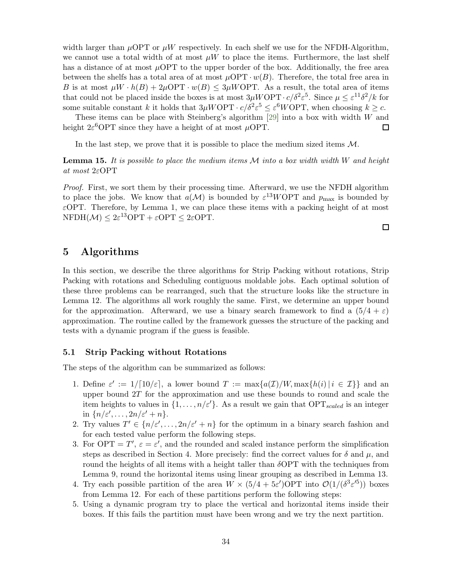width larger than  $\mu$ OPT or  $\mu$ W respectively. In each shelf we use for the NFDH-Algorithm, we cannot use a total width of at most  $\mu W$  to place the items. Furthermore, the last shelf has a distance of at most  $\mu$ OPT to the upper border of the box. Additionally, the free area between the shelfs has a total area of at most  $\mu$ OPT ·  $w(B)$ . Therefore, the total free area in B is at most  $\mu W \cdot h(B) + 2\mu \text{OPT} \cdot w(B) \leq 3\mu W \text{OPT}$ . As a result, the total area of items that could not be placed inside the boxes is at most  $3\mu W$ OPT $\cdot c/\delta^2 \varepsilon^5$ . Since  $\mu \leq \varepsilon^{11} \delta^2 / k$  for some suitable constant k it holds that  $3\mu W$ OPT ·  $c/\delta^2 \varepsilon^5 \leq \varepsilon^6 W$ OPT, when choosing  $k \geq c$ .

These items can be place with Steinberg's algorithm  $[29]$  into a box with width W and height  $2\varepsilon^6$ OPT since they have a height of at most  $\mu$ OPT.  $\Box$ 

In the last step, we prove that it is possible to place the medium sized items  $\mathcal{M}$ .

<span id="page-33-0"></span>**Lemma 15.** It is possible to place the medium items  $M$  into a box width width  $W$  and height at most 2εOPT

Proof. First, we sort them by their processing time. Afterward, we use the NFDH algorithm to place the jobs. We know that  $a(\mathcal{M})$  is bounded by  $\varepsilon^{13} WOPT$  and  $p_{\text{max}}$  is bounded by  $\varepsilon$ OPT. Therefore, by Lemma [1,](#page-2-0) we can place these items with a packing height of at most  $NFDH(\mathcal{M}) \leq 2\varepsilon^{13}OPT + \varepsilon OPT \leq 2\varepsilon OPT.$ 

口

### 5 Algorithms

In this section, we describe the three algorithms for Strip Packing without rotations, Strip Packing with rotations and Scheduling contiguous moldable jobs. Each optimal solution of these three problems can be rearranged, such that the structure looks like the structure in Lemma [12.](#page-24-0) The algorithms all work roughly the same. First, we determine an upper bound for the approximation. Afterward, we use a binary search framework to find a  $(5/4 + \varepsilon)$ approximation. The routine called by the framework guesses the structure of the packing and tests with a dynamic program if the guess is feasible.

#### 5.1 Strip Packing without Rotations

<span id="page-33-1"></span>The steps of the algorithm can be summarized as follows:

- 1. Define  $\varepsilon' := 1/[10/\varepsilon]$ , a lower bound  $T := \max\{a(\mathcal{I})/W, \max\{h(i) | i \in \mathcal{I}\}\}\$ and an upper bound  $2T$  for the approximation and use these bounds to round and scale the item heights to values in  $\{1, \ldots, n/\varepsilon'\}$ . As a result we gain that OPT<sub>scaled</sub> is an integer in  $\{n/\varepsilon', \ldots, 2n/\varepsilon' + n\}.$
- <span id="page-33-2"></span>2. Try values  $T' \in \{n/\varepsilon', \ldots, 2n/\varepsilon' + n\}$  for the optimum in a binary search fashion and for each tested value perform the following steps.
- <span id="page-33-3"></span>3. For OPT =  $T'$ ,  $\varepsilon = \varepsilon'$ , and the rounded and scaled instance perform the simplification steps as described in Section [4.](#page-20-1) More precisely: find the correct values for  $\delta$  and  $\mu$ , and round the heights of all items with a height taller than  $\delta$ OPT with the techniques from Lemma [9,](#page-21-1) round the horizontal items using linear grouping as described in Lemma [13.](#page-31-0)
- <span id="page-33-4"></span>4. Try each possible partition of the area  $W \times (5/4 + 5\varepsilon')$ OPT into  $\mathcal{O}(1/(\delta^3 \varepsilon'^5))$  boxes from Lemma [12.](#page-24-0) For each of these partitions perform the following steps:
- <span id="page-33-5"></span>5. Using a dynamic program try to place the vertical and horizontal items inside their boxes. If this fails the partition must have been wrong and we try the next partition.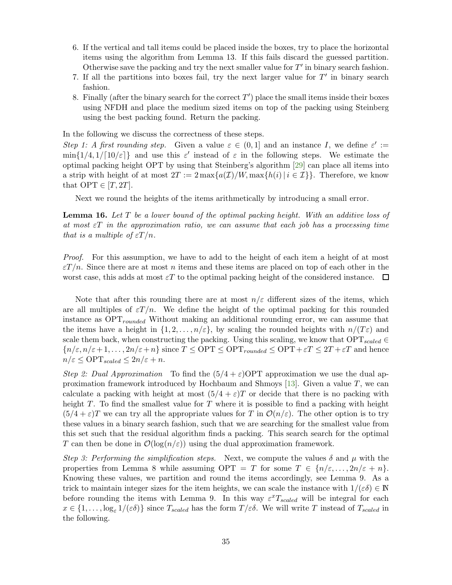- <span id="page-34-0"></span>6. If the vertical and tall items could be placed inside the boxes, try to place the horizontal items using the algorithm from Lemma [13.](#page-31-0) If this fails discard the guessed partition. Otherwise save the packing and try the next smaller value for  $T'$  in binary search fashion.
- 7. If all the partitions into boxes fail, try the next larger value for  $T'$  in binary search fashion.
- 8. Finally (after the binary search for the correct  $T'$ ) place the small items inside their boxes using NFDH and place the medium sized items on top of the packing using Steinberg using the best packing found. Return the packing.

In the following we discuss the correctness of these steps.

Step [1:](#page-33-1) A first rounding step. Given a value  $\varepsilon \in (0,1]$  and an instance I, we define  $\varepsilon' :=$  $\min\{1/4, 1/\lceil 10/\varepsilon \rceil\}$  and use this  $\varepsilon'$  instead of  $\varepsilon$  in the following steps. We estimate the optimal packing height OPT by using that Steinberg's algorithm [\[29\]](#page-42-2) can place all items into a strip with height of at most  $2T := 2 \max\{a(\mathcal{I})/W, \max\{h(i) | i \in \mathcal{I}\}\}\)$ . Therefore, we know that  $\text{OPT} \in [T, 2T]$ .

Next we round the heights of the items arithmetically by introducing a small error.

<span id="page-34-1"></span>**Lemma 16.** Let  $T$  be a lower bound of the optimal packing height. With an additive loss of at most  $\epsilon T$  in the approximation ratio, we can assume that each job has a processing time that is a multiple of  $\varepsilon T/n$ .

Proof. For this assumption, we have to add to the height of each item a height of at most  $\epsilon T/n$ . Since there are at most n items and these items are placed on top of each other in the worst case, this adds at most  $\varepsilon T$  to the optimal packing height of the considered instance.  $\Box$ 

Note that after this rounding there are at most  $n/\varepsilon$  different sizes of the items, which are all multiples of  $\epsilon T/n$ . We define the height of the optimal packing for this rounded instance as  $OPT_{rounded}$  Without making an additional rounding error, we can assume that the items have a height in  $\{1, 2, \ldots, n/\varepsilon\}$ , by scaling the rounded heights with  $n/(T\varepsilon)$  and scale them back, when constructing the packing. Using this scaling, we know that  $OPT_{scaled} \in$  ${n/\varepsilon, n/\varepsilon+1,\ldots, 2n/\varepsilon+n}$  since  $T \leq \text{OPT} \leq \text{OPT}_{rounded} \leq \text{OPT} + \varepsilon T \leq 2T + \varepsilon T$  and hence  $n/\varepsilon \leq \text{OPT}_{scaled} \leq 2n/\varepsilon + n.$ 

Step [2:](#page-33-2) Dual Approximation To find the  $(5/4 + \varepsilon)$ OPT approximation we use the dual ap-proximation framework introduced by Hochbaum and Shmoys [\[13\]](#page-40-11). Given a value  $T$ , we can calculate a packing with height at most  $(5/4 + \varepsilon)T$  or decide that there is no packing with height  $T$ . To find the smallest value for  $T$  where it is possible to find a packing with height  $(5/4 + \varepsilon)T$  we can try all the appropriate values for T in  $\mathcal{O}(n/\varepsilon)$ . The other option is to try these values in a binary search fashion, such that we are searching for the smallest value from this set such that the residual algorithm finds a packing. This search search for the optimal T can then be done in  $\mathcal{O}(\log(n/\varepsilon))$  using the dual approximation framework.

Step [3:](#page-33-3) Performing the simplification steps. Next, we compute the values  $\delta$  and  $\mu$  with the properties from Lemma [8](#page-21-0) while assuming  $\text{OPT} = T$  for some  $T \in \{n/\varepsilon, \ldots, 2n/\varepsilon + n\}.$ Knowing these values, we partition and round the items accordingly, see Lemma [9.](#page-21-1) As a trick to maintain integer sizes for the item heights, we can scale the instance with  $1/(\varepsilon\delta) \in \mathbb{N}$ before rounding the items with Lemma [9.](#page-21-1) In this way  $\varepsilon^x T_{scaled}$  will be integral for each  $x \in \{1,\ldots,\log_{\varepsilon}1/(\varepsilon\delta)\}\$  since  $T_{scaled}$  has the form  $T/\varepsilon\delta$ . We will write T instead of  $T_{scaled}$  in the following.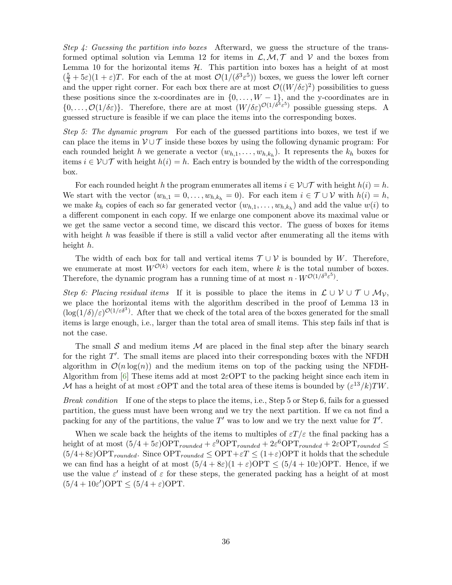Step [4:](#page-33-4) Guessing the partition into boxes Afterward, we guess the structure of the trans-formed optimal solution via Lemma [12](#page-24-0) for items in  $\mathcal{L}, \mathcal{M}, \mathcal{T}$  and  $\mathcal{V}$  and the boxes from Lemma [10](#page-22-1) for the horizontal items  $H$ . This partition into boxes has a height of at most  $(\frac{5}{4} + 5\varepsilon)(1 + \varepsilon)T$ . For each of the at most  $\mathcal{O}(1/(\delta^3 \varepsilon^5))$  boxes, we guess the lower left corner and the upper right corner. For each box there are at most  $\mathcal{O}((W/\delta \varepsilon)^2)$  possibilities to guess these positions since the x-coordinates are in  $\{0, \ldots, W-1\}$ , and the y-coordinates are in  $\{0,\ldots,\mathcal{O}(1/\delta\varepsilon)\}\.$  Therefore, there are at most  $(W/\delta\varepsilon)^{\mathcal{O}(1/\delta^3\varepsilon^5)}$  possible guessing steps. A guessed structure is feasible if we can place the items into the corresponding boxes.

Step [5:](#page-33-5) The dynamic program For each of the guessed partitions into boxes, we test if we can place the items in  $\mathcal{V} \cup \mathcal{T}$  inside these boxes by using the following dynamic program: For each rounded height h we generate a vector  $(w_{h,1}, \ldots, w_{h,k_h})$ . It represents the  $k_h$  boxes for items  $i \in V \cup T$  with height  $h(i) = h$ . Each entry is bounded by the width of the corresponding box.

For each rounded height h the program enumerates all items  $i \in V \cup T$  with height  $h(i) = h$ . We start with the vector  $(w_{h,1} = 0, \ldots, w_{h,k_h} = 0)$ . For each item  $i \in \mathcal{T} \cup \mathcal{V}$  with  $h(i) = h$ , we make  $k_h$  copies of each so far generated vector  $(w_{h,1}, \ldots, w_{h,k_h})$  and add the value  $w(i)$  to a different component in each copy. If we enlarge one component above its maximal value or we get the same vector a second time, we discard this vector. The guess of boxes for items with height  $h$  was feasible if there is still a valid vector after enumerating all the items with height h.

The width of each box for tall and vertical items  $\mathcal{T} \cup \mathcal{V}$  is bounded by W. Therefore, we enumerate at most  $W^{\mathcal{O}(k)}$  vectors for each item, where k is the total number of boxes. Therefore, the dynamic program has a running time of at most  $n \cdot W^{\mathcal{O}(1/\delta^3 \varepsilon^5)}$ .

Step [6:](#page-34-0) Placing residual items If it is possible to place the items in  $\mathcal{L} \cup \mathcal{V} \cup \mathcal{T} \cup \mathcal{M}_{\mathcal{V}}$ , we place the horizontal items with the algorithm described in the proof of Lemma [13](#page-31-0) in  $(\log(1/\delta)/\varepsilon)^{\mathcal{O}(1/\varepsilon\delta^3)}$ . After that we check of the total area of the boxes generated for the small items is large enough, i.e., larger than the total area of small items. This step fails inf that is not the case.

The small  $S$  and medium items  $M$  are placed in the final step after the binary search for the right T'. The small items are placed into their corresponding boxes with the NFDH algorithm in  $\mathcal{O}(n \log(n))$  and the medium items on top of the packing using the NFDH-Algorithm from [\[6\]](#page-40-4) These items add at most  $2\varepsilon$ OPT to the packing height since each item in M has a height of at most  $\varepsilon$ OPT and the total area of these items is bounded by  $(\varepsilon^{13}/k)TW$ .

Break condition If one of the steps to place the items, i.e., Step [5](#page-33-5) or Step [6,](#page-34-0) fails for a guessed partition, the guess must have been wrong and we try the next partition. If we ca not find a packing for any of the partitions, the value  $T'$  was to low and we try the next value for  $T'$ .

When we scale back the heights of the items to multiples of  $\epsilon T / \epsilon$  the final packing has a height of at most  $(5/4 + 5\varepsilon) \text{OPT}_{rounded} + \varepsilon^9 \text{OPT}_{rounded} + 2\varepsilon^6 \text{OPT}_{rounded} + 2\varepsilon \text{OPT}_{rounded} \le$  $(5/4+8\varepsilon) \text{OPT}_{rounded}$ . Since  $\text{OPT}_{rounded} \leq \text{OPT} + \varepsilon T \leq (1+\varepsilon) \text{OPT}$  it holds that the schedule we can find has a height of at most  $(5/4 + 8\varepsilon)(1 + \varepsilon)$ OPT  $\leq (5/4 + 10\varepsilon)$ OPT. Hence, if we use the value  $\varepsilon'$  instead of  $\varepsilon$  for these steps, the generated packing has a height of at most  $(5/4 + 10\varepsilon')$ OPT  $\leq (5/4 + \varepsilon)$ OPT.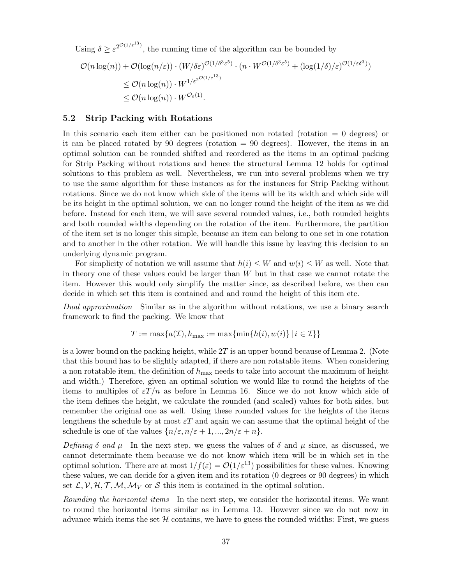Using  $\delta \geq \varepsilon^{2^{\mathcal{O}(1/\varepsilon^{13})}}$ , the running time of the algorithm can be bounded by

$$
\mathcal{O}(n \log(n)) + \mathcal{O}(\log(n/\varepsilon)) \cdot (W/\delta \varepsilon)^{\mathcal{O}(1/\delta^3 \varepsilon^5)} \cdot (n \cdot W^{\mathcal{O}(1/\delta^3 \varepsilon^5)} + (\log(1/\delta)/\varepsilon)^{\mathcal{O}(1/\varepsilon^5)})
$$
  
\$\leq \mathcal{O}(n \log(n)) \cdot W^{1/\varepsilon^{2^{\mathcal{O}(1/\varepsilon^{13})}}}\$  
\$\leq \mathcal{O}(n \log(n)) \cdot W^{\mathcal{O}\_{\varepsilon}(1)}.

### <span id="page-36-0"></span>5.2 Strip Packing with Rotations

In this scenario each item either can be positioned non rotated (rotation = 0 degrees) or it can be placed rotated by 90 degrees (rotation  $= 90$  degrees). However, the items in an optimal solution can be rounded shifted and reordered as the items in an optimal packing for Strip Packing without rotations and hence the structural Lemma [12](#page-24-0) holds for optimal solutions to this problem as well. Nevertheless, we run into several problems when we try to use the same algorithm for these instances as for the instances for Strip Packing without rotations. Since we do not know which side of the items will be its width and which side will be its height in the optimal solution, we can no longer round the height of the item as we did before. Instead for each item, we will save several rounded values, i.e., both rounded heights and both rounded widths depending on the rotation of the item. Furthermore, the partition of the item set is no longer this simple, because an item can belong to one set in one rotation and to another in the other rotation. We will handle this issue by leaving this decision to an underlying dynamic program.

For simplicity of notation we will assume that  $h(i) \leq W$  and  $w(i) \leq W$  as well. Note that in theory one of these values could be larger than W but in that case we cannot rotate the item. However this would only simplify the matter since, as described before, we then can decide in which set this item is contained and and round the height of this item etc.

Dual approximation Similar as in the algorithm without rotations, we use a binary search framework to find the packing. We know that

$$
T := \max\{a(\mathcal{I}), h_{\max} := \max\{\min\{h(i), w(i)\} \mid i \in \mathcal{I}\}\}\
$$

is a lower bound on the packing height, while  $2T$  is an upper bound because of Lemma [2.](#page-2-1) (Note that this bound has to be slightly adapted, if there are non rotatable items. When considering a non rotatable item, the definition of  $h_{\text{max}}$  needs to take into account the maximum of height and width.) Therefore, given an optimal solution we would like to round the heights of the items to multiples of  $\epsilon T/n$  as before in Lemma [16.](#page-34-1) Since we do not know which side of the item defines the height, we calculate the rounded (and scaled) values for both sides, but remember the original one as well. Using these rounded values for the heights of the items lengthens the schedule by at most  $\epsilon T$  and again we can assume that the optimal height of the schedule is one of the values  $\{n/\varepsilon, n/\varepsilon + 1, ..., 2n/\varepsilon + n\}.$ 

Defining  $\delta$  and  $\mu$  In the next step, we guess the values of  $\delta$  and  $\mu$  since, as discussed, we cannot determinate them because we do not know which item will be in which set in the optimal solution. There are at most  $1/f(\varepsilon) = \mathcal{O}(1/\varepsilon^{13})$  possibilities for these values. Knowing these values, we can decide for a given item and its rotation (0 degrees or 90 degrees) in which set  $\mathcal{L}, \mathcal{V}, \mathcal{H}, \mathcal{T}, \mathcal{M}, \mathcal{M}_V$  or S this item is contained in the optimal solution.

Rounding the horizontal items In the next step, we consider the horizontal items. We want to round the horizontal items similar as in Lemma [13.](#page-31-0) However since we do not now in advance which items the set  $H$  contains, we have to guess the rounded widths: First, we guess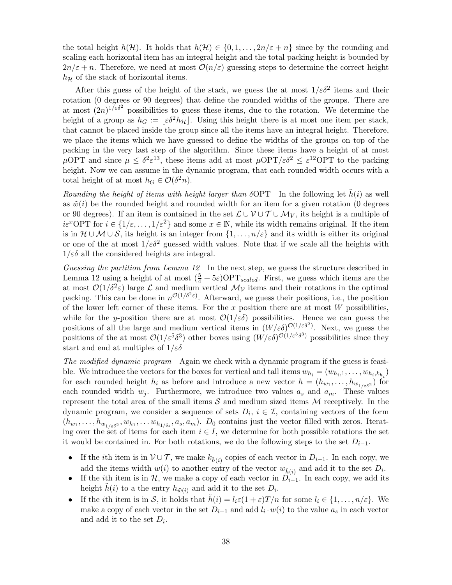the total height  $h(\mathcal{H})$ . It holds that  $h(\mathcal{H}) \in \{0, 1, ..., 2n/\varepsilon + n\}$  since by the rounding and scaling each horizontal item has an integral height and the total packing height is bounded by  $2n/\varepsilon + n$ . Therefore, we need at most  $\mathcal{O}(n/\varepsilon)$  guessing steps to determine the correct height  $h_{\mathcal{H}}$  of the stack of horizontal items.

After this guess of the height of the stack, we guess the at most  $1/\varepsilon \delta^2$  items and their rotation (0 degrees or 90 degrees) that define the rounded widths of the groups. There are at most  $(2n)^{1/\epsilon\delta^2}$  possibilities to guess these items, due to the rotation. We determine the height of a group as  $h_G := |\varepsilon \delta^2 h_H|$ . Using this height there is at most one item per stack, that cannot be placed inside the group since all the items have an integral height. Therefore, we place the items which we have guessed to define the widths of the groups on top of the packing in the very last step of the algorithm. Since these items have a height of at most  $\mu$ OPT and since  $\mu \leq \delta^2 \varepsilon^{13}$ , these items add at most  $\mu$ OPT/ $\varepsilon \delta^2 \leq \varepsilon^{12}$ OPT to the packing height. Now we can assume in the dynamic program, that each rounded width occurs with a total height of at most  $h_G \in \mathcal{O}(\delta^2 n)$ .

Rounding the height of items with height larger than  $\delta$ OPT In the following let  $\tilde{h}(i)$  as well as  $\tilde{w}(i)$  be the rounded height and rounded width for an item for a given rotation (0 degrees or 90 degrees). If an item is contained in the set  $\mathcal{L} \cup \mathcal{V} \cup \mathcal{T} \cup \mathcal{M}_V$ , its height is a multiple of  $i\varepsilon^x$ OPT for  $i \in \{1/\varepsilon, \ldots, 1/\varepsilon^2\}$  and some  $x \in \mathbb{N}$ , while its width remains original. If the item is in  $\mathcal{H} \cup \mathcal{M} \cup \mathcal{S}$ , its height is an integer from  $\{1, \ldots, n/\varepsilon\}$  and its width is either its original or one of the at most  $1/\varepsilon \delta^2$  guessed width values. Note that if we scale all the heights with  $1/\varepsilon\delta$  all the considered heights are integral.

Guessing the partition from Lemma [12](#page-24-0) In the next step, we guess the structure described in Lemma [12](#page-24-0) using a height of at most  $(\frac{5}{4} + 5\varepsilon) \text{OPT}_{scaled}$ . First, we guess which items are the at most  $\mathcal{O}(1/\delta^2 \varepsilon)$  large  $\mathcal L$  and medium vertical  $\mathcal M_{\mathcal V}$  items and their rotations in the optimal packing. This can be done in  $n^{\mathcal{O}(1/\delta^2 \varepsilon)}$ . Afterward, we guess their positions, i.e., the position of the lower left corner of these items. For the x position there are at most  $W$  possibilities, while for the y-position there are at most  $\mathcal{O}(1/\varepsilon\delta)$  possibilities. Hence we can guess the positions of all the large and medium vertical items in  $(W/\varepsilon \delta)^{O(1/\varepsilon \delta^2)}$ . Next, we guess the positions of the at most  $\mathcal{O}(1/\varepsilon^5 \delta^3)$  other boxes using  $(W/\varepsilon \delta)^{\mathcal{O}(1/\varepsilon^5 \delta^3)}$  possibilities since they start and end at multiples of  $1/\varepsilon\delta$ 

The modified dynamic program Again we check with a dynamic program if the guess is feasible. We introduce the vectors for the boxes for vertical and tall items  $w_{h_i} = (w_{h_i,1}, \ldots, w_{h_i, k_{h_i}})$ for each rounded height  $h_i$  as before and introduce a new vector  $h = (h_{w_1}, \ldots, h_{w_{1/\varepsilon \delta^2}})$  for each rounded width  $w_j$ . Furthermore, we introduce two values  $a_s$  and  $a_m$ . These values represent the total area of the small items  $S$  and medium sized items  $M$  receptively. In the dynamic program, we consider a sequence of sets  $D_i$ ,  $i \in \mathcal{I}$ , containing vectors of the form  $(h_{w_1},\ldots,h_{w_{1/\varepsilon\delta^2}},w_{h_1},\ldots,w_{h_{1/\delta\varepsilon}},a_s,a_m)$ .  $D_0$  contains just the vector filled with zeros. Iterating over the set of items for each item  $i \in I$ , we determine for both possible rotations the set it would be contained in. For both rotations, we do the following steps to the set  $D_{i-1}$ .

- If the *i*th item is in  $\mathcal{V} \cup \mathcal{T}$ , we make  $k_{\tilde{h}(i)}$  copies of each vector in  $D_{i-1}$ . In each copy, we add the items width  $w(i)$  to another entry of the vector  $w_{\tilde{h}(i)}$  and add it to the set  $D_i$ .
- If the ith item is in  $\mathcal{H}$ , we make a copy of each vector in  $D_{i-1}$ . In each copy, we add its height  $\tilde{h}(i)$  to a the entry  $h_{\tilde{w}(i)}$  and add it to the set  $D_i$ .
- If the *i*th item is in S, it holds that  $h(i) = l_i \varepsilon (1 + \varepsilon) T/n$  for some  $l_i \in \{1, ..., n/\varepsilon\}$ . We make a copy of each vector in the set  $D_{i-1}$  and add  $l_i \cdot w(i)$  to the value  $a_s$  in each vector and add it to the set  $D_i$ .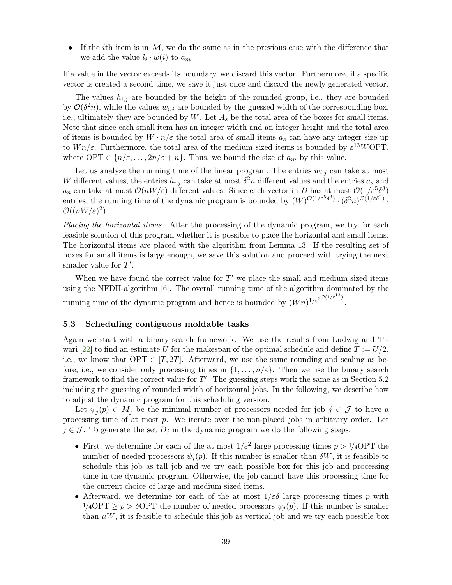• If the *i*th item is in  $M$ , we do the same as in the previous case with the difference that we add the value  $l_i \cdot w(i)$  to  $a_m$ .

If a value in the vector exceeds its boundary, we discard this vector. Furthermore, if a specific vector is created a second time, we save it just once and discard the newly generated vector.

The values  $h_{i,j}$  are bounded by the height of the rounded group, i.e., they are bounded by  $\mathcal{O}(\delta^2 n)$ , while the values  $w_{i,j}$  are bounded by the guessed width of the corresponding box, i.e., ultimately they are bounded by  $W$ . Let  $A_s$  be the total area of the boxes for small items. Note that since each small item has an integer width and an integer height and the total area of items is bounded by  $W \cdot n/\varepsilon$  the total area of small items  $a_s$  can have any integer size up to  $Wn/\varepsilon$ . Furthermore, the total area of the medium sized items is bounded by  $\varepsilon^{13}W\text{OPT}$ , where OPT  $\in \{n/\varepsilon, \ldots, 2n/\varepsilon + n\}$ . Thus, we bound the size of  $a_m$  by this value.

Let us analyze the running time of the linear program. The entries  $w_{i,j}$  can take at most W different values, the entries  $h_{i,j}$  can take at most  $\delta^2 n$  different values and the entries  $a_s$  and  $a_n$  can take at most  $\mathcal{O}(nW/\varepsilon)$  different values. Since each vector in D has at most  $\mathcal{O}(1/\varepsilon^5\delta^3)$ entries, the running time of the dynamic program is bounded by  $(W)^{\mathcal{O}(1/\varepsilon^5 \delta^3)} \cdot (\delta^2 n)^{\mathcal{O}(1/\varepsilon \delta^2)}$ .  $\mathcal{O}((nW/\varepsilon)^2)$ .

Placing the horizontal items After the processing of the dynamic program, we try for each feasible solution of this program whether it is possible to place the horizontal and small items. The horizontal items are placed with the algorithm from Lemma [13.](#page-31-0) If the resulting set of boxes for small items is large enough, we save this solution and proceed with trying the next smaller value for  $T'$ .

When we have found the correct value for  $T'$  we place the small and medium sized items using the NFDH-algorithm [\[6\]](#page-40-4). The overall running time of the algorithm dominated by the running time of the dynamic program and hence is bounded by  $(Wn)^{1/\varepsilon^{2^{\mathcal{O}(1/\varepsilon^{13})}}}$ .

#### 5.3 Scheduling contiguous moldable tasks

Again we start with a binary search framework. We use the results from Ludwig and Ti-wari [\[22\]](#page-41-11) to find an estimate U for the makespan of the optimal schedule and define  $T := U/2$ , i.e., we know that  $\text{OPT} \in [T, 2T]$ . Afterward, we use the same rounding and scaling as before, i.e., we consider only processing times in  $\{1, \ldots, n/\varepsilon\}$ . Then we use the binary search framework to find the correct value for  $T'$ . The guessing steps work the same as in Section [5.2](#page-36-0) including the guessing of rounded width of horizontal jobs. In the following, we describe how to adjust the dynamic program for this scheduling version.

Let  $\psi_j(p) \in M_j$  be the minimal number of processors needed for job  $j \in \mathcal{J}$  to have a processing time of at most  $p$ . We iterate over the non-placed jobs in arbitrary order. Let  $j \in \mathcal{J}$ . To generate the set  $D_j$  in the dynamic program we do the following steps:

- First, we determine for each of the at most  $1/\varepsilon^2$  large processing times  $p > 1/4\text{OPT}$  the number of needed processors  $\psi_i(p)$ . If this number is smaller than  $\delta W$ , it is feasible to schedule this job as tall job and we try each possible box for this job and processing time in the dynamic program. Otherwise, the job cannot have this processing time for the current choice of large and medium sized items.
- Afterward, we determine for each of the at most  $1/\varepsilon \delta$  large processing times p with  $1/4\text{OPT} \geq p > \delta \text{OPT}$  the number of needed processors  $\psi_j(p)$ . If this number is smaller than  $\mu$ W, it is feasible to schedule this job as vertical job and we try each possible box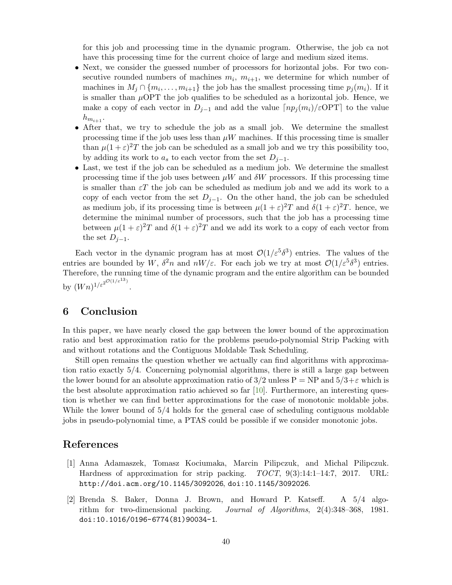for this job and processing time in the dynamic program. Otherwise, the job ca not have this processing time for the current choice of large and medium sized items.

- Next, we consider the guessed number of processors for horizontal jobs. For two consecutive rounded numbers of machines  $m_i$ ,  $m_{i+1}$ , we determine for which number of machines in  $M_j \cap \{m_i, \ldots, m_{i+1}\}\$ the job has the smallest processing time  $p_j(m_i)$ . If it is smaller than  $\mu$ OPT the job qualifies to be scheduled as a horizontal job. Hence, we make a copy of each vector in  $D_{j-1}$  and add the value  $\lfloor np_j(m_i)/\epsilon \text{OPT} \rfloor$  to the value  $h_{m_{i+1}}$ .
- After that, we try to schedule the job as a small job. We determine the smallest processing time if the job uses less than  $\mu W$  machines. If this processing time is smaller than  $\mu(1+\varepsilon)^2T$  the job can be scheduled as a small job and we try this possibility too, by adding its work to  $a_s$  to each vector from the set  $D_{j-1}$ .
- Last, we test if the job can be scheduled as a medium job. We determine the smallest processing time if the job uses between  $\mu W$  and  $\delta W$  processors. If this processing time is smaller than  $\varepsilon T$  the job can be scheduled as medium job and we add its work to a copy of each vector from the set  $D_{i-1}$ . On the other hand, the job can be scheduled as medium job, if its processing time is between  $\mu(1+\varepsilon)^2T$  and  $\delta(1+\varepsilon)^2T$ . hence, we determine the minimal number of processors, such that the job has a processing time between  $\mu(1+\varepsilon)^2T$  and  $\delta(1+\varepsilon)^2T$  and we add its work to a copy of each vector from the set  $D_{j-1}$ .

Each vector in the dynamic program has at most  $\mathcal{O}(1/\varepsilon^5 \delta^3)$  entries. The values of the entries are bounded by W,  $\delta^2 n$  and  $nW/\varepsilon$ . For each job we try at most  $\mathcal{O}(1/\varepsilon^5 \delta^3)$  entries. Therefore, the running time of the dynamic program and the entire algorithm can be bounded by  $(Wn)^{1/\varepsilon^{2^{\mathcal{O}(1/\varepsilon^{13})}}}$ .

# 6 Conclusion

In this paper, we have nearly closed the gap between the lower bound of the approximation ratio and best approximation ratio for the problems pseudo-polynomial Strip Packing with and without rotations and the Contiguous Moldable Task Scheduling.

Still open remains the question whether we actually can find algorithms with approximation ratio exactly 5/4. Concerning polynomial algorithms, there is still a large gap between the lower bound for an absolute approximation ratio of  $3/2$  unless P = NP and  $5/3+\varepsilon$  which is the best absolute approximation ratio achieved so far [\[10\]](#page-40-7). Furthermore, an interesting question is whether we can find better approximations for the case of monotonic moldable jobs. While the lower bound of 5/4 holds for the general case of scheduling contiguous moldable jobs in pseudo-polynomial time, a PTAS could be possible if we consider monotonic jobs.

# <span id="page-39-1"></span>References

- [1] Anna Adamaszek, Tomasz Kociumaka, Marcin Pilipczuk, and Michal Pilipczuk. Hardness of approximation for strip packing. TOCT, 9(3):14:1–14:7, 2017. URL: <http://doi.acm.org/10.1145/3092026>, [doi:10.1145/3092026](http://dx.doi.org/10.1145/3092026).
- <span id="page-39-0"></span>[2] Brenda S. Baker, Donna J. Brown, and Howard P. Katseff. A 5/4 algorithm for two-dimensional packing. Journal of Algorithms, 2(4):348–368, 1981. [doi:10.1016/0196-6774\(81\)90034-1](http://dx.doi.org/10.1016/0196-6774(81)90034-1).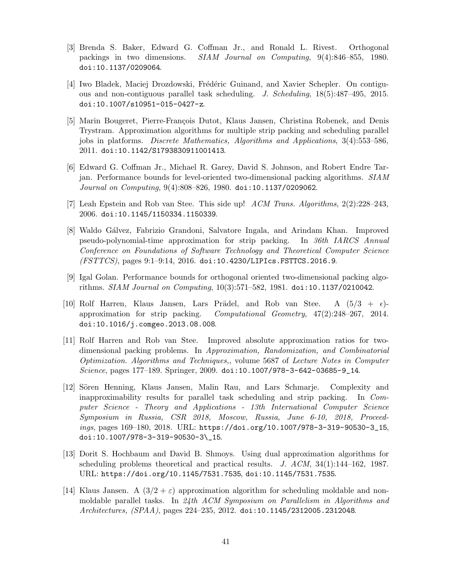- <span id="page-40-2"></span>[3] Brenda S. Baker, Edward G. Coffman Jr., and Ronald L. Rivest. Orthogonal packings in two dimensions. SIAM Journal on Computing, 9(4):846–855, 1980. [doi:10.1137/0209064](http://dx.doi.org/10.1137/0209064).
- <span id="page-40-8"></span>[4] Iwo Bladek, Maciej Drozdowski, Frédéric Guinand, and Xavier Schepler. On contiguous and non-contiguous parallel task scheduling. J. Scheduling, 18(5):487–495, 2015. [doi:10.1007/s10951-015-0427-z](http://dx.doi.org/10.1007/s10951-015-0427-z).
- <span id="page-40-3"></span>[5] Marin Bougeret, Pierre-François Dutot, Klaus Jansen, Christina Robenek, and Denis Trystram. Approximation algorithms for multiple strip packing and scheduling parallel jobs in platforms. Discrete Mathematics, Algorithms and Applications, 3(4):553–586, 2011. [doi:10.1142/S1793830911001413](http://dx.doi.org/10.1142/S1793830911001413).
- <span id="page-40-4"></span>[6] Edward G. Coffman Jr., Michael R. Garey, David S. Johnson, and Robert Endre Tarjan. Performance bounds for level-oriented two-dimensional packing algorithms. SIAM Journal on Computing, 9(4):808–826, 1980. [doi:10.1137/0209062](http://dx.doi.org/10.1137/0209062).
- <span id="page-40-9"></span><span id="page-40-1"></span>[7] Leah Epstein and Rob van Stee. This side up! ACM Trans. Algorithms, 2(2):228–243, 2006. [doi:10.1145/1150334.1150339](http://dx.doi.org/10.1145/1150334.1150339).
- [8] Waldo Gálvez, Fabrizio Grandoni, Salvatore Ingala, and Arindam Khan. Improved pseudo-polynomial-time approximation for strip packing. In 36th IARCS Annual Conference on Foundations of Software Technology and Theoretical Computer Science  $(FSTTCS)$ , pages  $9:1-9:14$ ,  $2016$ . [doi:10.4230/LIPIcs.FSTTCS.2016.9](http://dx.doi.org/10.4230/LIPIcs.FSTTCS.2016.9).
- <span id="page-40-5"></span>[9] Igal Golan. Performance bounds for orthogonal oriented two-dimensional packing algorithms. SIAM Journal on Computing, 10(3):571–582, 1981. [doi:10.1137/0210042](http://dx.doi.org/10.1137/0210042).
- <span id="page-40-7"></span>[10] Rolf Harren, Klaus Jansen, Lars Prädel, and Rob van Stee. A  $(5/3 + \epsilon)$ approximation for strip packing. Computational Geometry,  $47(2):248-267$ ,  $2014$ . [doi:10.1016/j.comgeo.2013.08.008](http://dx.doi.org/10.1016/j.comgeo.2013.08.008).
- <span id="page-40-6"></span>[11] Rolf Harren and Rob van Stee. Improved absolute approximation ratios for twodimensional packing problems. In Approximation, Randomization, and Combinatorial Optimization. Algorithms and Techniques,, volume 5687 of Lecture Notes in Computer Science, pages 177–189. Springer, 2009. [doi:10.1007/978-3-642-03685-9\\_14](http://dx.doi.org/10.1007/978-3-642-03685-9_14).
- <span id="page-40-0"></span>[12] Sören Henning, Klaus Jansen, Malin Rau, and Lars Schmarje. Complexity and inapproximability results for parallel task scheduling and strip packing. In Computer Science - Theory and Applications - 13th International Computer Science Symposium in Russia, CSR 2018, Moscow, Russia, June 6-10, 2018, Proceedings, pages 169–180, 2018. URL: [https://doi.org/10.1007/978-3-319-90530-3\\_15](https://doi.org/10.1007/978-3-319-90530-3_15), [doi:10.1007/978-3-319-90530-3\\\_15](http://dx.doi.org/10.1007/978-3-319-90530-3_15).
- <span id="page-40-11"></span>[13] Dorit S. Hochbaum and David B. Shmoys. Using dual approximation algorithms for scheduling problems theoretical and practical results. J. ACM, 34(1):144–162, 1987. URL: <https://doi.org/10.1145/7531.7535>, [doi:10.1145/7531.7535](http://dx.doi.org/10.1145/7531.7535).
- <span id="page-40-10"></span>[14] Klaus Jansen. A  $(3/2 + \varepsilon)$  approximation algorithm for scheduling moldable and nonmoldable parallel tasks. In 24th ACM Symposium on Parallelism in Algorithms and Architectures, (SPAA), pages 224–235, 2012. [doi:10.1145/2312005.2312048](http://dx.doi.org/10.1145/2312005.2312048).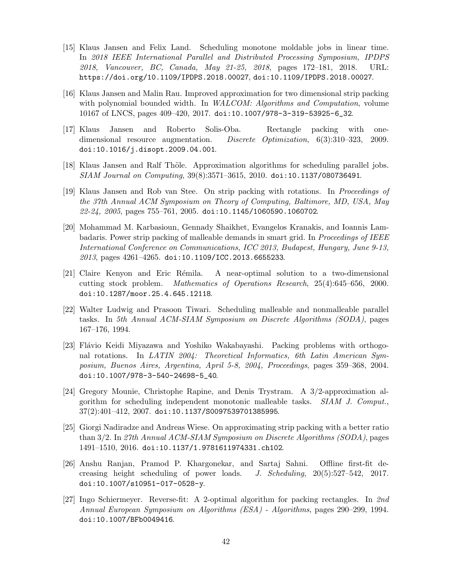- <span id="page-41-1"></span>[15] Klaus Jansen and Felix Land. Scheduling monotone moldable jobs in linear time. In 2018 IEEE International Parallel and Distributed Processing Symposium, IPDPS 2018, Vancouver, BC, Canada, May 21-25, 2018, pages 172–181, 2018. URL: <https://doi.org/10.1109/IPDPS.2018.00027>, [doi:10.1109/IPDPS.2018.00027](http://dx.doi.org/10.1109/IPDPS.2018.00027).
- <span id="page-41-0"></span>[16] Klaus Jansen and Malin Rau. Improved approximation for two dimensional strip packing with polynomial bounded width. In WALCOM: Algorithms and Computation, volume 10167 of LNCS, pages 409–420, 2017. [doi:10.1007/978-3-319-53925-6\\_32](http://dx.doi.org/10.1007/978-3-319-53925-6_32).
- <span id="page-41-4"></span>[17] Klaus Jansen and Roberto Solis-Oba. Rectangle packing with onedimensional resource augmentation. Discrete Optimization, 6(3):310–323, 2009. [doi:10.1016/j.disopt.2009.04.001](http://dx.doi.org/10.1016/j.disopt.2009.04.001).
- <span id="page-41-8"></span>[18] Klaus Jansen and Ralf Thöle. Approximation algorithms for scheduling parallel jobs. SIAM Journal on Computing, 39(8):3571–3615, 2010. [doi:10.1137/080736491](http://dx.doi.org/10.1137/080736491).
- <span id="page-41-10"></span>[19] Klaus Jansen and Rob van Stee. On strip packing with rotations. In Proceedings of the 37th Annual ACM Symposium on Theory of Computing, Baltimore, MD, USA, May  $22-24$ ,  $2005$ , pages  $755-761$ ,  $2005$ . [doi:10.1145/1060590.1060702](http://dx.doi.org/10.1145/1060590.1060702).
- <span id="page-41-2"></span>[20] Mohammad M. Karbasioun, Gennady Shaikhet, Evangelos Kranakis, and Ioannis Lambadaris. Power strip packing of malleable demands in smart grid. In *Proceedings of IEEE* International Conference on Communications, ICC 2013, Budapest, Hungary, June 9-13,  $2013$ , pages  $4261 - 4265$ . [doi:10.1109/ICC.2013.6655233](http://dx.doi.org/10.1109/ICC.2013.6655233).
- <span id="page-41-5"></span>[21] Claire Kenyon and Eric R´emila. A near-optimal solution to a two-dimensional cutting stock problem. Mathematics of Operations Research, 25(4):645–656, 2000. [doi:10.1287/moor.25.4.645.12118](http://dx.doi.org/10.1287/moor.25.4.645.12118).
- <span id="page-41-11"></span>[22] Walter Ludwig and Prasoon Tiwari. Scheduling malleable and nonmalleable parallel tasks. In 5th Annual ACM-SIAM Symposium on Discrete Algorithms (SODA), pages 167–176, 1994.
- <span id="page-41-9"></span>[23] Flávio Keidi Miyazawa and Yoshiko Wakabayashi. Packing problems with orthogonal rotations. In LATIN 2004: Theoretical Informatics, 6th Latin American Symposium, Buenos Aires, Argentina, April 5-8, 2004, Proceedings, pages 359–368, 2004. [doi:10.1007/978-3-540-24698-5\\_40](http://dx.doi.org/10.1007/978-3-540-24698-5_40).
- <span id="page-41-12"></span>[24] Gregory Mounie, Christophe Rapine, and Denis Trystram. A 3/2-approximation algorithm for scheduling independent monotonic malleable tasks. SIAM J. Comput.,  $37(2):401-412$ ,  $2007.$  [doi:10.1137/S0097539701385995](http://dx.doi.org/10.1137/S0097539701385995).
- <span id="page-41-7"></span>[25] Giorgi Nadiradze and Andreas Wiese. On approximating strip packing with a better ratio than 3/2. In 27th Annual ACM-SIAM Symposium on Discrete Algorithms (SODA), pages 1491–1510, 2016. [doi:10.1137/1.9781611974331.ch102](http://dx.doi.org/10.1137/1.9781611974331.ch102).
- <span id="page-41-3"></span>[26] Anshu Ranjan, Pramod P. Khargonekar, and Sartaj Sahni. Offline first-fit decreasing height scheduling of power loads. J. Scheduling, 20(5):527–542, 2017. [doi:10.1007/s10951-017-0528-y](http://dx.doi.org/10.1007/s10951-017-0528-y).
- <span id="page-41-6"></span>[27] Ingo Schiermeyer. Reverse-fit: A 2-optimal algorithm for packing rectangles. In 2nd Annual European Symposium on Algorithms (ESA) - Algorithms, pages 290–299, 1994. [doi:10.1007/BFb0049416](http://dx.doi.org/10.1007/BFb0049416).